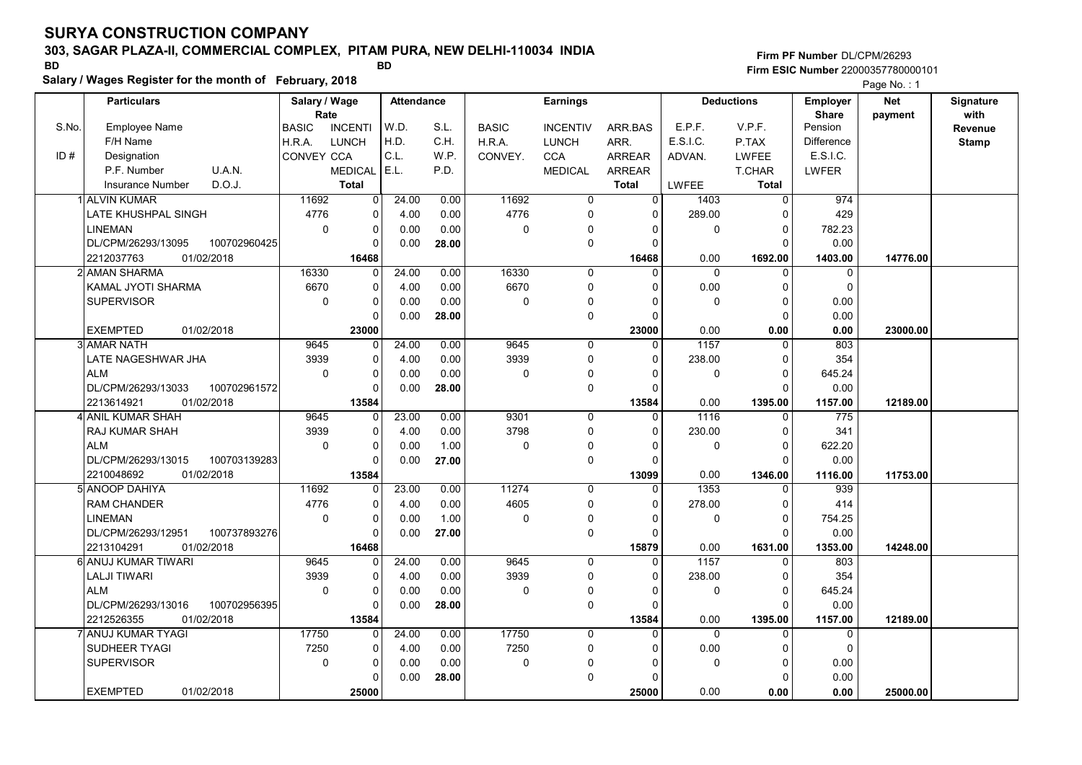# 303, SAGAR PLAZA-II, COMMERCIAL COMPLEX, PITAM PURA, NEW DELHI-110034 INDIA

Salary / Wages Register for the month of February, 2018

### Firm PF Number DL/CPM/26293 Firm ESIC Number <sup>22000357780000101</sup> BD BD

|       | <b>Particulars</b>                 | Salary / Wage<br>Rate |                | <b>Attendance</b> |       |              | <b>Earnings</b> |                |                   | <b>Deductions</b> | Employer<br><b>Share</b> | <b>Net</b> | Signature<br>with |
|-------|------------------------------------|-----------------------|----------------|-------------------|-------|--------------|-----------------|----------------|-------------------|-------------------|--------------------------|------------|-------------------|
| S.No. | <b>Employee Name</b>               | <b>BASIC</b>          | <b>INCENTI</b> | W.D.              | S.L.  | <b>BASIC</b> | <b>INCENTIV</b> | ARR.BAS        | E.P.F.            | V.P.F.            | Pension                  | payment    | Revenue           |
|       | F/H Name                           | H.R.A.                | <b>LUNCH</b>   | H.D.              | C.H.  | H.R.A.       | <b>LUNCH</b>    | ARR.           | E.S.I.C.          | P.TAX             | <b>Difference</b>        |            | <b>Stamp</b>      |
| ID#   | Designation                        | CONVEY CCA            |                | C.L.              | W.P.  | CONVEY.      | <b>CCA</b>      | <b>ARREAR</b>  | ADVAN.            | LWFEE             | E.S.I.C.                 |            |                   |
|       | P.F. Number<br>U.A.N.              |                       | <b>MEDICAL</b> | E.L.              | P.D.  |              | <b>MEDICAL</b>  | <b>ARREAR</b>  |                   | T.CHAR            | LWFER                    |            |                   |
|       | D.O.J.<br><b>Insurance Number</b>  |                       | <b>Total</b>   |                   |       |              |                 | <b>Total</b>   | LWFEE             | <b>Total</b>      |                          |            |                   |
|       | 1 ALVIN KUMAR                      | 11692                 | $\overline{0}$ | 24.00             | 0.00  | 11692        | $\mathbf 0$     | $\overline{0}$ | 1403              | $\mathbf{0}$      | 974                      |            |                   |
|       | LATE KHUSHPAL SINGH                | 4776                  | 0              | 4.00              | 0.00  | 4776         | $\mathbf 0$     | $\Omega$       | 289.00            | $\Omega$          | 429                      |            |                   |
|       | LINEMAN                            | $\mathbf 0$           | 0              | 0.00              | 0.00  | $\mathbf 0$  | $\Omega$        | $\Omega$       | 0                 | $\Omega$          | 782.23                   |            |                   |
|       | DL/CPM/26293/13095<br>100702960425 |                       | $\Omega$       | 0.00              | 28.00 |              | $\mathbf 0$     | $\Omega$       |                   | $\Omega$          | 0.00                     |            |                   |
|       | 01/02/2018<br>2212037763           |                       | 16468          |                   |       |              |                 | 16468          | 0.00              | 1692.00           | 1403.00                  | 14776.00   |                   |
|       | 2İ AMAN SHARMA                     | 16330                 | 0              | 24.00             | 0.00  | 16330        | $\mathbf 0$     | $\Omega$       | $\Omega$          | $\Omega$          | $\mathbf 0$              |            |                   |
|       | KAMAL JYOTI SHARMA                 | 6670                  | 0              | 4.00              | 0.00  | 6670         | $\mathbf 0$     | $\Omega$       | 0.00              | $\Omega$          | $\Omega$                 |            |                   |
|       | <b>SUPERVISOR</b>                  | $\mathbf 0$           | 0              | 0.00              | 0.00  | $\mathbf 0$  | 0               |                | 0                 | $\Omega$          | 0.00                     |            |                   |
|       |                                    |                       | 0              | 0.00              | 28.00 |              | $\mathbf 0$     | $\Omega$       |                   | $\Omega$          | 0.00                     |            |                   |
|       | <b>EXEMPTED</b><br>01/02/2018      |                       | 23000          |                   |       |              |                 | 23000          | 0.00              | 0.00              | 0.00                     | 23000.00   |                   |
|       | <b>3 AMAR NATH</b>                 | 9645                  | $\Omega$       | 24.00             | 0.00  | 9645         | $\mathbf 0$     | $\Omega$       | $\overline{1157}$ |                   | 803                      |            |                   |
|       | LATE NAGESHWAR JHA                 | 3939                  | 0              | 4.00              | 0.00  | 3939         | $\Omega$        | $\Omega$       | 238.00            | $\Omega$          | 354                      |            |                   |
|       | <b>ALM</b>                         | $\mathbf 0$           | 0              | 0.00              | 0.00  | $\mathbf 0$  | $\mathbf 0$     | $\Omega$       | 0                 | $\Omega$          | 645.24                   |            |                   |
|       | DL/CPM/26293/13033<br>100702961572 |                       | 0              | 0.00              | 28.00 |              | $\mathbf 0$     | $\Omega$       |                   | $\Omega$          | 0.00                     |            |                   |
|       | 2213614921<br>01/02/2018           |                       | 13584          |                   |       |              |                 | 13584          | 0.00              | 1395.00           | 1157.00                  | 12189.00   |                   |
|       | 4 ANIL KUMAR SHAH                  | 9645                  | 0              | 23.00             | 0.00  | 9301         | $\mathbf 0$     | $\Omega$       | 1116              | $\Omega$          | 775                      |            |                   |
|       | <b>RAJ KUMAR SHAH</b>              | 3939                  | 0              | 4.00              | 0.00  | 3798         | $\mathbf 0$     | $\Omega$       | 230.00            | $\Omega$          | 341                      |            |                   |
|       | <b>ALM</b>                         | $\mathbf 0$           | 0              | 0.00              | 1.00  | $\mathbf 0$  | 0               | 0              | 0                 | 0                 | 622.20                   |            |                   |
|       | 100703139283<br>DL/CPM/26293/13015 |                       | 0              | 0.00              | 27.00 |              | $\mathbf 0$     | $\Omega$       |                   | $\cap$            | 0.00                     |            |                   |
|       | 01/02/2018<br>2210048692           |                       | 13584          |                   |       |              |                 | 13099          | 0.00              | 1346.00           | 1116.00                  | 11753.00   |                   |
|       | 5 ANOOP DAHIYA                     | 11692                 | 0              | 23.00             | 0.00  | 11274        | $\Omega$        | $\Omega$       | 1353              |                   | 939                      |            |                   |
|       | <b>RAM CHANDER</b>                 | 4776                  | 0              | 4.00              | 0.00  | 4605         | $\mathbf 0$     | $\Omega$       | 278.00            | $\Omega$          | 414                      |            |                   |
|       | LINEMAN                            | $\mathbf 0$           | 0              | 0.00              | 1.00  | $\mathbf 0$  | $\Omega$        | $\Omega$       | 0                 | $\mathbf 0$       | 754.25                   |            |                   |
|       | DL/CPM/26293/12951<br>100737893276 |                       | $\Omega$       | 0.00              | 27.00 |              | $\pmb{0}$       | $\Omega$       |                   | $\Omega$          | 0.00                     |            |                   |
|       | 01/02/2018<br>2213104291           |                       | 16468          |                   |       |              |                 | 15879          | 0.00              | 1631.00           | 1353.00                  | 14248.00   |                   |
|       | 6 ANUJ KUMAR TIWARI                | 9645                  | 0              | 24.00             | 0.00  | 9645         | $\mathbf 0$     | $\Omega$       | 1157              | $\Omega$          | 803                      |            |                   |
|       | <b>LALJI TIWARI</b>                | 3939                  | 0              | 4.00              | 0.00  | 3939         | 0               | 0              | 238.00            | 0                 | 354                      |            |                   |
|       | <b>ALM</b>                         | $\mathbf 0$           | 0              | 0.00              | 0.00  | 0            | $\mathbf 0$     |                | 0                 | $\Omega$          | 645.24                   |            |                   |
|       | DL/CPM/26293/13016<br>100702956395 |                       | 0              | 0.00              | 28.00 |              | $\pmb{0}$       | $\Omega$       |                   | n                 | 0.00                     |            |                   |
|       | 01/02/2018<br>2212526355           |                       | 13584          |                   |       |              |                 | 13584          | 0.00              | 1395.00           | 1157.00                  | 12189.00   |                   |
|       | <b>ANUJ KUMAR TYAGI</b>            | 17750                 | 0              | 24.00             | 0.00  | 17750        | $\mathbf 0$     | $\overline{0}$ | $\Omega$          | $\Omega$          | $\mathbf 0$              |            |                   |
|       | <b>SUDHEER TYAGI</b>               | 7250                  | 0              | 4.00              | 0.00  | 7250         | $\mathbf 0$     | $\Omega$       | 0.00              | $\Omega$          | $\Omega$                 |            |                   |
|       | <b>SUPERVISOR</b>                  | $\mathbf 0$           | 0              | 0.00              | 0.00  | 0            | 0               | O              | 0                 | $\Omega$          | 0.00                     |            |                   |
|       |                                    |                       | $\Omega$       | 0.00              | 28.00 |              | $\mathbf 0$     |                |                   | $\Omega$          | 0.00                     |            |                   |
|       | <b>EXEMPTED</b><br>01/02/2018      |                       | 25000          |                   |       |              |                 | 25000          | 0.00              | 0.00              | 0.00                     | 25000.00   |                   |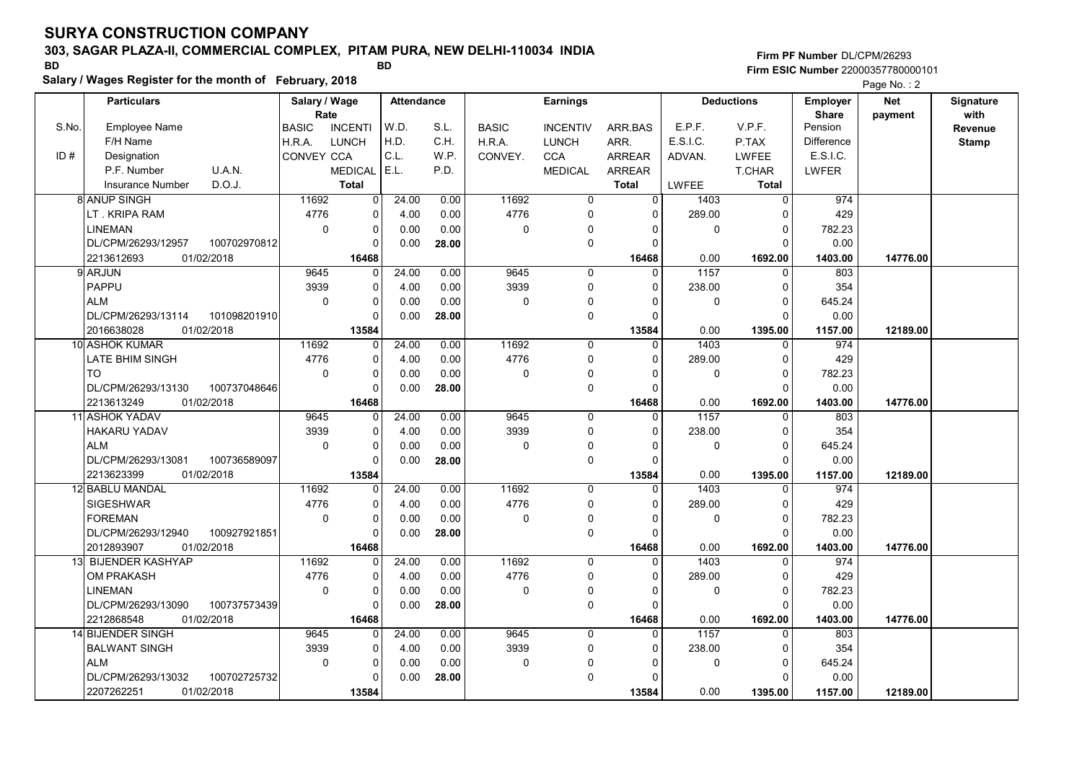# 303, SAGAR PLAZA-II, COMMERCIAL COMPLEX, PITAM PURA, NEW DELHI-110034 INDIA

Salary / Wages Register for the month of February, 2018

### Firm PF Number DL/CPM/26293 Firm ESIC Number <sup>22000357780000101</sup> BD BD

|       | <b>Particulars</b>       |              | Salary / Wage        |                | <b>Attendance</b> |       |                     | <b>Earnings</b> |                |              | <b>Deductions</b> | <b>Employer</b>         | <b>Net</b> | Signature       |
|-------|--------------------------|--------------|----------------------|----------------|-------------------|-------|---------------------|-----------------|----------------|--------------|-------------------|-------------------------|------------|-----------------|
| S.No. | Employee Name            |              | Rate<br><b>BASIC</b> | <b>INCENTI</b> | W.D.              | S.L.  | <b>BASIC</b>        | <b>INCENTIV</b> | ARR.BAS        | E.P.F.       | V.P.F.            | <b>Share</b><br>Pension | payment    | with<br>Revenue |
|       | F/H Name                 |              | H.R.A.               | <b>LUNCH</b>   | H.D.              | C.H.  | H.R.A.              | <b>LUNCH</b>    | ARR.           | E.S.I.C.     | P.TAX             | <b>Difference</b>       |            | <b>Stamp</b>    |
| ID#   | Designation              |              | <b>CONVEY CCA</b>    |                | C.L.              | W.P.  | CONVEY.             | <b>CCA</b>      | <b>ARREAR</b>  | ADVAN.       | LWFEE             | E.S.I.C.                |            |                 |
|       | P.F. Number              | U.A.N.       |                      | <b>MEDICAL</b> | E.L.              | P.D.  |                     | <b>MEDICAL</b>  | <b>ARREAR</b>  |              | T.CHAR            | LWFER                   |            |                 |
|       | <b>Insurance Number</b>  | D.O.J.       |                      | <b>Total</b>   |                   |       |                     |                 | <b>Total</b>   | <b>LWFEE</b> | <b>Total</b>      |                         |            |                 |
|       | <b>8 ANUP SINGH</b>      |              | 11692                | $\mathbf 0$    | 24.00             | 0.00  | 11692               | $\mathbf 0$     | $\overline{0}$ | 1403         | $\mathbf 0$       | 974                     |            |                 |
|       | LT. KRIPA RAM            |              | 4776                 | 0              | 4.00              | 0.00  | 4776                | 0               | $\Omega$       | 289.00       | 0                 | 429                     |            |                 |
|       | <b>LINEMAN</b>           |              | $\Omega$             | $\mathbf 0$    | 0.00              | 0.00  | $\mathsf{O}\xspace$ | $\Omega$        | $\Omega$       | 0            | $\mathbf 0$       | 782.23                  |            |                 |
|       | DL/CPM/26293/12957       | 100702970812 |                      | $\Omega$       | 0.00              | 28.00 |                     | $\mathbf 0$     | $\Omega$       |              | $\Omega$          | 0.00                    |            |                 |
|       | 2213612693<br>01/02/2018 |              |                      | 16468          |                   |       |                     |                 | 16468          | 0.00         | 1692.00           | 1403.00                 | 14776.00   |                 |
|       | 9 ARJUN                  |              | 9645                 | 0              | 24.00             | 0.00  | 9645                | 0               | $\Omega$       | 1157         | 0                 | 803                     |            |                 |
|       | PAPPU                    |              | 3939                 | 0              | 4.00              | 0.00  | 3939                | $\mathbf 0$     | $\Omega$       | 238.00       | $\mathbf 0$       | 354                     |            |                 |
|       | <b>ALM</b>               |              | $\mathbf 0$          | $\pmb{0}$      | 0.00              | 0.00  | $\mathbf 0$         | $\Omega$        | $\Omega$       | 0            | $\Omega$          | 645.24                  |            |                 |
|       | DL/CPM/26293/13114       | 101098201910 |                      | $\Omega$       | 0.00              | 28.00 |                     | $\mathbf 0$     | $\Omega$       |              | $\mathbf 0$       | 0.00                    |            |                 |
|       | 01/02/2018<br>2016638028 |              |                      | 13584          |                   |       |                     |                 | 13584          | 0.00         | 1395.00           | 1157.00                 | 12189.00   |                 |
|       | 10 ASHOK KUMAR           |              | 11692                | $\mathbf 0$    | 24.00             | 0.00  | 11692               | $\mathbf 0$     | $\mathbf 0$    | 1403         | $\mathbf 0$       | 974                     |            |                 |
|       | LATE BHIM SINGH          |              | 4776                 | 0              | 4.00              | 0.00  | 4776                | $\mathbf 0$     | $\Omega$       | 289.00       | $\mathbf 0$       | 429                     |            |                 |
|       | <b>TO</b>                |              | $\mathbf 0$          | $\pmb{0}$      | 0.00              | 0.00  | 0                   | 0               | $\Omega$       | 0            | $\mathbf 0$       | 782.23                  |            |                 |
|       | DL/CPM/26293/13130       | 100737048646 |                      | $\Omega$       | 0.00              | 28.00 |                     | $\mathbf 0$     | $\Omega$       |              | $\Omega$          | 0.00                    |            |                 |
|       | 2213613249<br>01/02/2018 |              |                      | 16468          |                   |       |                     |                 | 16468          | 0.00         | 1692.00           | 1403.00                 | 14776.00   |                 |
|       | 11 ASHOK YADAV           |              | 9645                 | 0              | 24.00             | 0.00  | 9645                | $\mathbf 0$     | 0              | 1157         | $\mathbf 0$       | 803                     |            |                 |
|       | <b>HAKARU YADAV</b>      |              | 3939                 | 0              | 4.00              | 0.00  | 3939                | 0               | $\Omega$       | 238.00       | $\mathbf 0$       | 354                     |            |                 |
|       | <b>ALM</b>               |              | $\Omega$             | $\mathbf 0$    | 0.00              | 0.00  | $\Omega$            | $\mathbf 0$     | $\Omega$       | 0            | $\Omega$          | 645.24                  |            |                 |
|       | DL/CPM/26293/13081       | 100736589097 |                      | $\mathbf 0$    | 0.00              | 28.00 |                     | $\mathbf 0$     | $\Omega$       |              | $\Omega$          | 0.00                    |            |                 |
|       | 2213623399<br>01/02/2018 |              |                      | 13584          |                   |       |                     |                 | 13584          | 0.00         | 1395.00           | 1157.00                 | 12189.00   |                 |
|       | 12 BABLU MANDAL          |              | 11692                | $\mathbf 0$    | 24.00             | 0.00  | 11692               | $\mathbf 0$     | $\Omega$       | 1403         | $\mathbf{0}$      | 974                     |            |                 |
|       | <b>SIGESHWAR</b>         |              | 4776                 | $\mathbf 0$    | 4.00              | 0.00  | 4776                | $\mathbf 0$     | $\Omega$       | 289.00       | $\Omega$          | 429                     |            |                 |
|       | <b>FOREMAN</b>           |              | $\mathbf 0$          | $\pmb{0}$      | 0.00              | 0.00  | $\mathbf 0$         | 0               | $\Omega$       | 0            | $\mathbf 0$       | 782.23                  |            |                 |
|       | DL/CPM/26293/12940       | 100927921851 |                      | 0              | 0.00              | 28.00 |                     | $\mathbf 0$     | 0              |              | $\mathbf 0$       | 0.00                    |            |                 |
|       | 2012893907<br>01/02/2018 |              |                      | 16468          |                   |       |                     |                 | 16468          | 0.00         | 1692.00           | 1403.00                 | 14776.00   |                 |
|       | 13 BIJENDER KASHYAP      |              | 11692                | $\mathbf 0$    | 24.00             | 0.00  | 11692               | $\mathbf{0}$    | $\Omega$       | 1403         | $\mathbf 0$       | 974                     |            |                 |
|       | <b>OM PRAKASH</b>        |              | 4776                 | $\mathbf 0$    | 4.00              | 0.00  | 4776                | 0               | $\Omega$       | 289.00       | $\mathbf 0$       | 429                     |            |                 |
|       | <b>LINEMAN</b>           |              | $\Omega$             | 0              | 0.00              | 0.00  | 0                   | 0               | $\Omega$       | 0            | $\mathbf 0$       | 782.23                  |            |                 |
|       | DL/CPM/26293/13090       | 100737573439 |                      | $\mathbf 0$    | 0.00              | 28.00 |                     | $\mathbf 0$     | $\Omega$       |              | $\Omega$          | 0.00                    |            |                 |
|       | 2212868548<br>01/02/2018 |              |                      | 16468          |                   |       |                     |                 | 16468          | 0.00         | 1692.00           | 1403.00                 | 14776.00   |                 |
|       | 14 BIJENDER SINGH        |              | 9645                 | 0              | 24.00             | 0.00  | 9645                | $\mathbf 0$     | 0              | 1157         | $\mathbf 0$       | 803                     |            |                 |
|       | <b>BALWANT SINGH</b>     |              | 3939                 | $\mathbf 0$    | 4.00              | 0.00  | 3939                | $\mathbf 0$     | $\Omega$       | 238.00       | $\mathbf 0$       | 354                     |            |                 |
|       | <b>ALM</b>               |              | $\mathbf 0$          | $\pmb{0}$      | 0.00              | 0.00  | $\mathbf 0$         | $\Omega$        | 0              | 0            | $\mathbf 0$       | 645.24                  |            |                 |
|       | DL/CPM/26293/13032       | 100702725732 |                      | 0              | 0.00              | 28.00 |                     | $\Omega$        |                |              | $\Omega$          | 0.00                    |            |                 |
|       | 2207262251<br>01/02/2018 |              |                      | 13584          |                   |       |                     |                 | 13584          | 0.00         | 1395.00           | 1157.00                 | 12189.00   |                 |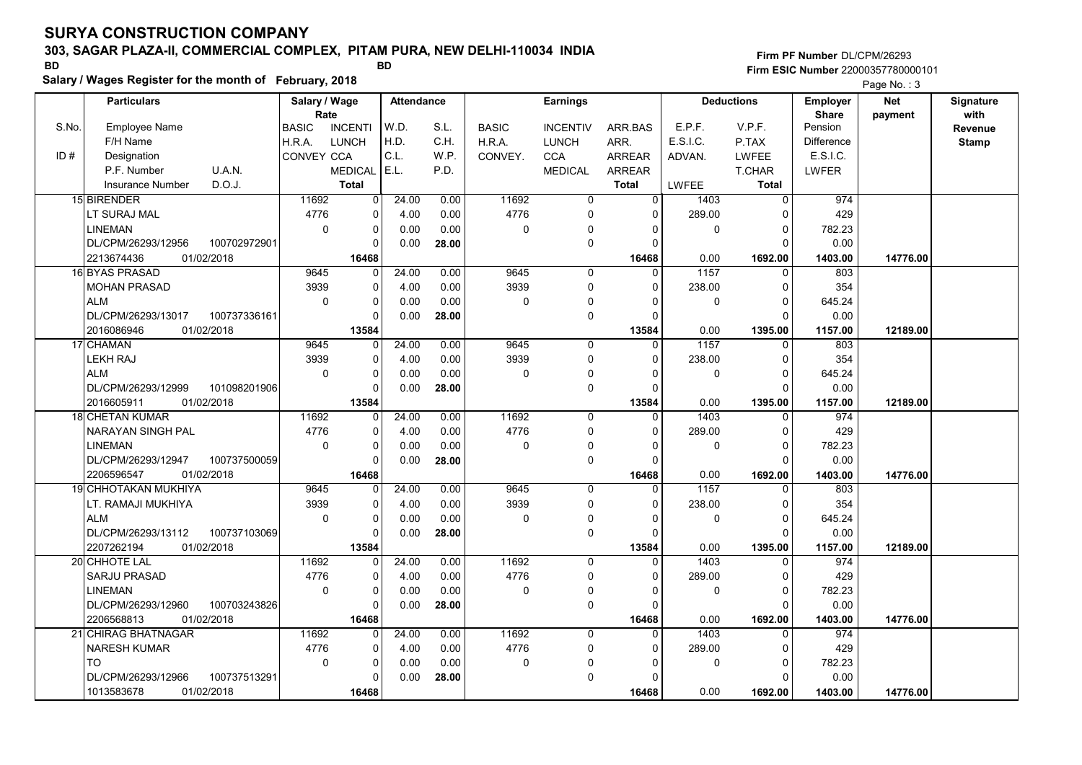# 303, SAGAR PLAZA-II, COMMERCIAL COMPLEX, PITAM PURA, NEW DELHI-110034 INDIA

Salary / Wages Register for the month of February, 2018

### Firm PF Number DL/CPM/26293 Firm ESIC Number <sup>22000357780000101</sup> BD BD

|       | <b>Particulars</b>                 | Salary / Wage        |                | <b>Attendance</b> |       |              | <b>Earnings</b> |                |              | <b>Deductions</b> | Employer                | <b>Net</b> | Signature       |
|-------|------------------------------------|----------------------|----------------|-------------------|-------|--------------|-----------------|----------------|--------------|-------------------|-------------------------|------------|-----------------|
| S.No. | <b>Employee Name</b>               | Rate<br><b>BASIC</b> | <b>INCENTI</b> | W.D.              | S.L.  | <b>BASIC</b> | <b>INCENTIV</b> | ARR.BAS        | E.P.F.       | V.P.F.            | <b>Share</b><br>Pension | payment    | with<br>Revenue |
|       | F/H Name                           | H.R.A.               | LUNCH          | H.D.              | C.H.  | H.R.A.       | <b>LUNCH</b>    | ARR.           | E.S.I.C.     | P.TAX             | Difference              |            | <b>Stamp</b>    |
| ID#   | Designation                        | CONVEY CCA           |                | C.L.              | W.P.  | CONVEY.      | <b>CCA</b>      | <b>ARREAR</b>  | ADVAN.       | <b>LWFEE</b>      | E.S.I.C.                |            |                 |
|       | P.F. Number<br>U.A.N.              |                      | <b>MEDICAL</b> | E.L.              | P.D.  |              | <b>MEDICAL</b>  | <b>ARREAR</b>  |              | T.CHAR            | <b>LWFER</b>            |            |                 |
|       | D.O.J.<br>Insurance Number         |                      | <b>Total</b>   |                   |       |              |                 | Total          | <b>LWFEE</b> | <b>Total</b>      |                         |            |                 |
|       | 15 BIRENDER                        | 11692                | $\overline{0}$ | 24.00             | 0.00  | 11692        | 0               | $\overline{0}$ | 1403         | $\mathbf{0}$      | 974                     |            |                 |
|       | LT SURAJ MAL                       | 4776                 | $\mathbf 0$    | 4.00              | 0.00  | 4776         | 0               | $\Omega$       | 289.00       | 0                 | 429                     |            |                 |
|       | <b>LINEMAN</b>                     | $\mathbf 0$          | $\mathbf 0$    | 0.00              | 0.00  | 0            | $\pmb{0}$       | $\mathbf{0}$   | $\mathbf 0$  | $\Omega$          | 782.23                  |            |                 |
|       | DL/CPM/26293/12956<br>100702972901 |                      | $\Omega$       | 0.00              | 28.00 |              | $\mathbf 0$     | $\Omega$       |              | $\Omega$          | 0.00                    |            |                 |
|       | 2213674436<br>01/02/2018           |                      | 16468          |                   |       |              |                 | 16468          | 0.00         | 1692.00           | 1403.00                 | 14776.00   |                 |
|       | 16 BYAS PRASAD                     | 9645                 | $\Omega$       | 24.00             | 0.00  | 9645         | 0               | $\Omega$       | 1157         | 0                 | 803                     |            |                 |
|       | <b>MOHAN PRASAD</b>                | 3939                 | $\Omega$       | 4.00              | 0.00  | 3939         | $\mathbf 0$     | $\Omega$       | 238.00       | $\Omega$          | 354                     |            |                 |
|       | <b>ALM</b>                         | $\mathbf 0$          | $\Omega$       | 0.00              | 0.00  | 0            | 0               | $\Omega$       | $\mathbf 0$  | $\Omega$          | 645.24                  |            |                 |
|       | DL/CPM/26293/13017<br>100737336161 |                      | $\Omega$       | 0.00              | 28.00 |              | $\mathbf 0$     | $\mathbf{0}$   |              | $\Omega$          | 0.00                    |            |                 |
|       | 01/02/2018<br>2016086946           |                      | 13584          |                   |       |              |                 | 13584          | 0.00         | 1395.00           | 1157.00                 | 12189.00   |                 |
|       | 17 CHAMAN                          | 9645                 | $\mathbf 0$    | 24.00             | 0.00  | 9645         | $\mathbf 0$     | $\mathbf 0$    | 1157         | $\mathbf{0}$      | 803                     |            |                 |
|       | <b>LEKH RAJ</b>                    | 3939                 | $\mathbf 0$    | 4.00              | 0.00  | 3939         | 0               | 0              | 238.00       | $\Omega$          | 354                     |            |                 |
|       | <b>ALM</b>                         | $\mathbf 0$          | $\mathbf 0$    | 0.00              | 0.00  | 0            | 0               | $\Omega$       | $\mathbf 0$  | $\Omega$          | 645.24                  |            |                 |
|       | DL/CPM/26293/12999<br>101098201906 |                      | $\Omega$       | 0.00              | 28.00 |              | $\mathbf 0$     | $\Omega$       |              | $\Omega$          | 0.00                    |            |                 |
|       | 2016605911<br>01/02/2018           |                      | 13584          |                   |       |              |                 | 13584          | 0.00         | 1395.00           | 1157.00                 | 12189.00   |                 |
|       | <b>18 CHETAN KUMAR</b>             | 11692                | $\Omega$       | 24.00             | 0.00  | 11692        | $\mathbf 0$     | $\Omega$       | 1403         | $\Omega$          | 974                     |            |                 |
|       | NARAYAN SINGH PAL                  | 4776                 | $\Omega$       | 4.00              | 0.00  | 4776         | $\mathbf 0$     | $\Omega$       | 289.00       | $\Omega$          | 429                     |            |                 |
|       | <b>LINEMAN</b>                     | 0                    | $\Omega$       | 0.00              | 0.00  | 0            | 0               | n              | $\mathbf 0$  | $\mathbf 0$       | 782.23                  |            |                 |
|       | DL/CPM/26293/12947<br>100737500059 |                      | $\Omega$       | 0.00              | 28.00 |              | $\mathbf 0$     | $\Omega$       |              | $\Omega$          | 0.00                    |            |                 |
|       | 01/02/2018<br>2206596547           |                      | 16468          |                   |       |              |                 | 16468          | 0.00         | 1692.00           | 1403.00                 | 14776.00   |                 |
|       | 19 CHHOTAKAN MUKHIYA               | 9645                 | $\Omega$       | 24.00             | 0.00  | 9645         | 0               | $\Omega$       | 1157         | $\Omega$          | 803                     |            |                 |
|       | LT. RAMAJI MUKHIYA                 | 3939                 | $\Omega$       | 4.00              | 0.00  | 3939         | $\mathbf 0$     | $\Omega$       | 238.00       | $\Omega$          | 354                     |            |                 |
|       | <b>ALM</b>                         | $\mathbf 0$          | $\mathbf 0$    | 0.00              | 0.00  | 0            | 0               | $\Omega$       | $\mathbf 0$  | 0                 | 645.24                  |            |                 |
|       | DL/CPM/26293/13112<br>100737103069 |                      | $\Omega$       | 0.00              | 28.00 |              | $\mathsf 0$     | $\Omega$       |              | $\Omega$          | 0.00                    |            |                 |
|       | 2207262194<br>01/02/2018           |                      | 13584          |                   |       |              |                 | 13584          | 0.00         | 1395.00           | 1157.00                 | 12189.00   |                 |
|       | 20 CHHOTE LAL                      | 11692                | $\Omega$       | 24.00             | 0.00  | 11692        | $\mathbf 0$     | $\Omega$       | 1403         | $\Omega$          | 974                     |            |                 |
|       | <b>SARJU PRASAD</b>                | 4776                 | $\Omega$       | 4.00              | 0.00  | 4776         | $\mathsf 0$     | $\Omega$       | 289.00       | $\Omega$          | 429                     |            |                 |
|       | <b>LINEMAN</b>                     | $\Omega$             | $\mathbf 0$    | 0.00              | 0.00  | 0            | 0               | $\Omega$       | $\mathbf 0$  | $\Omega$          | 782.23                  |            |                 |
|       | 100703243826<br>DL/CPM/26293/12960 |                      | $\Omega$       | 0.00              | 28.00 |              | $\mathbf 0$     | $\Omega$       |              | $\Omega$          | 0.00                    |            |                 |
|       | 2206568813<br>01/02/2018           |                      | 16468          |                   |       |              |                 | 16468          | 0.00         | 1692.00           | 1403.00                 | 14776.00   |                 |
|       | 21 CHIRAG BHATNAGAR                | 11692                | $\Omega$       | 24.00             | 0.00  | 11692        | $\mathbf 0$     | $\Omega$       | 1403         | $\Omega$          | 974                     |            |                 |
|       | <b>NARESH KUMAR</b>                | 4776                 | $\mathbf 0$    | 4.00              | 0.00  | 4776         | 0               | 0              | 289.00       | 0                 | 429                     |            |                 |
|       | <b>TO</b>                          | $\mathbf 0$          | $\pmb{0}$      | 0.00              | 0.00  | 0            | 0               | 0              | $\mathbf 0$  | $\mathbf 0$       | 782.23                  |            |                 |
|       | 100737513291<br>DL/CPM/26293/12966 |                      | $\Omega$       | 0.00              | 28.00 |              | $\mathbf 0$     |                |              | $\Omega$          | 0.00                    |            |                 |
|       | 1013583678<br>01/02/2018           |                      | 16468          |                   |       |              |                 | 16468          | 0.00         | 1692.00           | 1403.00                 | 14776.00   |                 |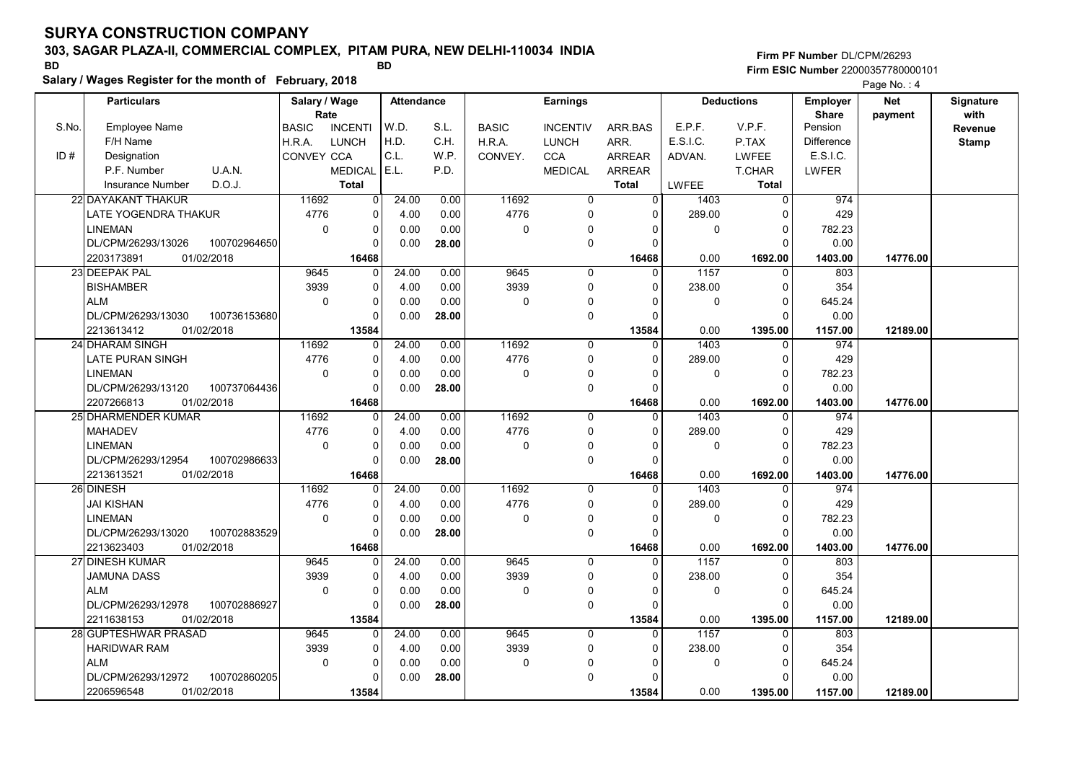# 303, SAGAR PLAZA-II, COMMERCIAL COMPLEX, PITAM PURA, NEW DELHI-110034 INDIA

Salary / Wages Register for the month of February, 2018

### Firm PF Number DL/CPM/26293 Firm ESIC Number <sup>22000357780000101</sup> BD BD

|       | <b>Particulars</b>                 | Salary / Wage        |                | <b>Attendance</b> |       |              | <b>Earnings</b> |                |              | <b>Deductions</b> | <b>Employer</b>         | <b>Net</b> | Signature       |
|-------|------------------------------------|----------------------|----------------|-------------------|-------|--------------|-----------------|----------------|--------------|-------------------|-------------------------|------------|-----------------|
| S.No. | Employee Name                      | Rate<br><b>BASIC</b> | <b>INCENTI</b> | W.D.              | S.L.  | <b>BASIC</b> | <b>INCENTIV</b> | ARR.BAS        | E.P.F.       | V.P.F.            | <b>Share</b><br>Pension | payment    | with<br>Revenue |
|       | F/H Name                           | H.R.A.               | LUNCH          | H.D.              | C.H.  | H.R.A.       | <b>LUNCH</b>    | ARR.           | E.S.I.C.     | P.TAX             | <b>Difference</b>       |            | <b>Stamp</b>    |
| ID#   | Designation                        | <b>CONVEY CCA</b>    |                | C.L.              | W.P.  | CONVEY.      | <b>CCA</b>      | <b>ARREAR</b>  | ADVAN.       | <b>LWFEE</b>      | E.S.I.C.                |            |                 |
|       | P.F. Number<br>U.A.N.              |                      | <b>MEDICAL</b> | E.L.              | P.D.  |              | <b>MEDICAL</b>  | <b>ARREAR</b>  |              | <b>T.CHAR</b>     | <b>LWFER</b>            |            |                 |
|       | D.O.J.<br><b>Insurance Number</b>  |                      | <b>Total</b>   |                   |       |              |                 | <b>Total</b>   | <b>LWFEE</b> | <b>Total</b>      |                         |            |                 |
|       | 22 DAYAKANT THAKUR                 | 11692                | $\mathbf 0$    | 24.00             | 0.00  | 11692        | 0               | $\overline{0}$ | 1403         | $\mathbf 0$       | 974                     |            |                 |
|       | LATE YOGENDRA THAKUR               | 4776                 | 0              | 4.00              | 0.00  | 4776         | 0               | $\mathbf{0}$   | 289.00       | $\Omega$          | 429                     |            |                 |
|       | <b>LINEMAN</b>                     | $\mathbf 0$          | 0              | 0.00              | 0.00  | 0            | $\Omega$        | $\Omega$       | 0            | $\Omega$          | 782.23                  |            |                 |
|       | DL/CPM/26293/13026<br>100702964650 |                      | $\Omega$       | 0.00              | 28.00 |              | $\mathbf 0$     | $\Omega$       |              | $\Omega$          | 0.00                    |            |                 |
|       | 2203173891<br>01/02/2018           |                      | 16468          |                   |       |              |                 | 16468          | 0.00         | 1692.00           | 1403.00                 | 14776.00   |                 |
|       | 23 DEEPAK PAL                      | 9645                 | $\Omega$       | 24.00             | 0.00  | 9645         | $\mathbf 0$     | $\Omega$       | 1157         | $\Omega$          | 803                     |            |                 |
|       | <b>BISHAMBER</b>                   | 3939                 | 0              | 4.00              | 0.00  | 3939         | $\mathbf 0$     | $\Omega$       | 238.00       | $\mathbf 0$       | 354                     |            |                 |
|       | ALM                                | $\mathbf 0$          | $\mathbf 0$    | 0.00              | 0.00  | 0            | $\Omega$        | $\Omega$       | 0            | $\Omega$          | 645.24                  |            |                 |
|       | 100736153680<br>DL/CPM/26293/13030 |                      | 0              | 0.00              | 28.00 |              | $\mathbf 0$     | $\Omega$       |              | $\Omega$          | 0.00                    |            |                 |
|       | 01/02/2018<br>2213613412           |                      | 13584          |                   |       |              |                 | 13584          | 0.00         | 1395.00           | 1157.00                 | 12189.00   |                 |
|       | 24 DHARAM SINGH                    | 11692                | $\mathbf 0$    | 24.00             | 0.00  | 11692        | $\mathbf 0$     | $\mathbf 0$    | 1403         | $\mathbf 0$       | 974                     |            |                 |
|       | LATE PURAN SINGH                   | 4776                 | $\mathbf 0$    | 4.00              | 0.00  | 4776         | $\mathbf 0$     | 0              | 289.00       | $\mathbf 0$       | 429                     |            |                 |
|       | <b>LINEMAN</b>                     | $\mathbf 0$          | 0              | 0.00              | 0.00  | $\mathbf 0$  | $\mathbf 0$     | $\Omega$       | 0            | $\Omega$          | 782.23                  |            |                 |
|       | DL/CPM/26293/13120<br>100737064436 |                      | $\Omega$       | 0.00              | 28.00 |              | $\mathbf 0$     | $\Omega$       |              | $\Omega$          | 0.00                    |            |                 |
|       | 2207266813<br>01/02/2018           |                      | 16468          |                   |       |              |                 | 16468          | 0.00         | 1692.00           | 1403.00                 | 14776.00   |                 |
|       | 25 DHARMENDER KUMAR                | 11692                | $\Omega$       | 24.00             | 0.00  | 11692        | $\mathbf 0$     | $\Omega$       | 1403         | $\Omega$          | 974                     |            |                 |
|       | <b>MAHADEV</b>                     | 4776                 | $\mathbf 0$    | 4.00              | 0.00  | 4776         | $\mathbf 0$     | $\Omega$       | 289.00       | $\Omega$          | 429                     |            |                 |
|       | <b>LINEMAN</b>                     | $\Omega$             | $\mathbf 0$    | 0.00              | 0.00  | $\mathbf 0$  | 0               | $\Omega$       | 0            | $\mathbf 0$       | 782.23                  |            |                 |
|       | DL/CPM/26293/12954<br>100702986633 |                      | $\Omega$       | 0.00              | 28.00 |              | $\mathbf 0$     | $\Omega$       |              | $\Omega$          | 0.00                    |            |                 |
|       | 01/02/2018<br>2213613521           |                      | 16468          |                   |       |              |                 | 16468          | 0.00         | 1692.00           | 1403.00                 | 14776.00   |                 |
|       | 26 DINESH                          | 11692                | $\mathbf 0$    | 24.00             | 0.00  | 11692        | $\mathbf 0$     | $\Omega$       | 1403         | $\Omega$          | 974                     |            |                 |
|       | JAI KISHAN                         | 4776                 | $\mathbf 0$    | 4.00              | 0.00  | 4776         | $\mathbf 0$     | $\Omega$       | 289.00       | 0                 | 429                     |            |                 |
|       | <b>LINEMAN</b>                     | $\mathbf 0$          | $\mathbf 0$    | 0.00              | 0.00  | $\mathbf 0$  | $\Omega$        | $\Omega$       | 0            | $\mathbf 0$       | 782.23                  |            |                 |
|       | 100702883529<br>DL/CPM/26293/13020 |                      | $\mathbf 0$    | 0.00              | 28.00 |              | $\mathbf 0$     | $\Omega$       |              | $\Omega$          | 0.00                    |            |                 |
|       | 2213623403<br>01/02/2018           |                      | 16468          |                   |       |              |                 | 16468          | 0.00         | 1692.00           | 1403.00                 | 14776.00   |                 |
|       | 27 DINESH KUMAR                    | 9645                 | $\Omega$       | 24.00             | 0.00  | 9645         | $\Omega$        | $\Omega$       | 1157         | $\Omega$          | 803                     |            |                 |
|       | JAMUNA DASS                        | 3939                 | $\Omega$       | 4.00              | 0.00  | 3939         | $\mathbf 0$     | $\Omega$       | 238.00       | $\Omega$          | 354                     |            |                 |
|       | ALM                                | $\mathbf 0$          | $\mathbf 0$    | 0.00              | 0.00  | 0            | 0               | $\Omega$       | 0            | $\mathbf 0$       | 645.24                  |            |                 |
|       | DL/CPM/26293/12978<br>100702886927 |                      | $\Omega$       | 0.00              | 28.00 |              | $\mathbf{0}$    | $\Omega$       |              | $\Omega$          | 0.00                    |            |                 |
|       | 2211638153<br>01/02/2018           |                      | 13584          |                   |       |              |                 | 13584          | 0.00         | 1395.00           | 1157.00                 | 12189.00   |                 |
|       | 28 GUPTESHWAR PRASAD               | 9645                 | $\Omega$       | 24.00             | 0.00  | 9645         | $\Omega$        | $\Omega$       | 1157         | $\Omega$          | 803                     |            |                 |
|       | <b>HARIDWAR RAM</b>                | 3939                 | 0              | 4.00              | 0.00  | 3939         | 0               | 0              | 238.00       | $\Omega$          | 354                     |            |                 |
|       | <b>ALM</b>                         | $\mathbf 0$          | $\pmb{0}$      | 0.00              | 0.00  | $\pmb{0}$    | $\Omega$        | $\Omega$       | 0            | $\mathbf 0$       | 645.24                  |            |                 |
|       | DL/CPM/26293/12972<br>100702860205 |                      | 0              | 0.00              | 28.00 |              | $\Omega$        | $\Omega$       |              | $\Omega$          | 0.00                    |            |                 |
|       | 01/02/2018<br>2206596548           |                      | 13584          |                   |       |              |                 | 13584          | 0.00         | 1395.00           | 1157.00                 | 12189.00   |                 |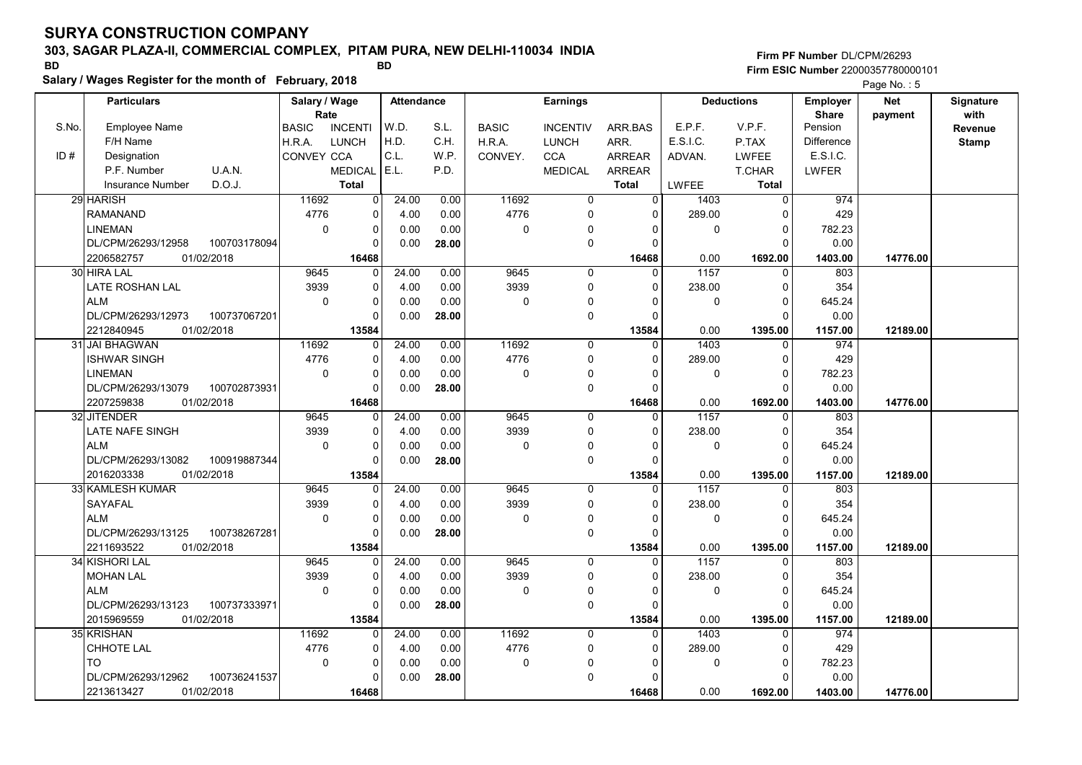# 303, SAGAR PLAZA-II, COMMERCIAL COMPLEX, PITAM PURA, NEW DELHI-110034 INDIA

Salary / Wages Register for the month of February, 2018

### Firm PF Number DL/CPM/26293 Firm ESIC Number <sup>22000357780000101</sup> BD BD

|       | <b>Particulars</b>                                             | Salary / Wage        |                         | Attendance |       |              | <b>Earnings</b> |                   |                   | <b>Deductions</b>       | <b>Employer</b>         | <b>Net</b> | Signature       |
|-------|----------------------------------------------------------------|----------------------|-------------------------|------------|-------|--------------|-----------------|-------------------|-------------------|-------------------------|-------------------------|------------|-----------------|
| S.No. | Employee Name                                                  | Rate<br><b>BASIC</b> | <b>INCENTI</b>          | W.D.       | S.L.  | <b>BASIC</b> | <b>INCENTIV</b> | ARR.BAS           | E.P.F.            | V.P.F.                  | <b>Share</b><br>Pension | payment    | with<br>Revenue |
|       | F/H Name                                                       | H.R.A.               | <b>LUNCH</b>            | H.D.       | C.H.  | H.R.A.       | <b>LUNCH</b>    | ARR.              | E.S.I.C.          | P.TAX                   | Difference              |            | <b>Stamp</b>    |
| ID#   | Designation                                                    | CONVEY CCA           |                         | C.L.       | W.P.  | CONVEY.      | <b>CCA</b>      | <b>ARREAR</b>     | ADVAN.            | <b>LWFEE</b>            | E.S.I.C.                |            |                 |
|       | P.F. Number<br>U.A.N.                                          |                      | <b>MEDICAL</b>          | E.L.       | P.D.  |              | <b>MEDICAL</b>  | <b>ARREAR</b>     |                   | T.CHAR                  | LWFER                   |            |                 |
|       | D.O.J.<br><b>Insurance Number</b>                              |                      | <b>Total</b>            |            |       |              |                 | <b>Total</b>      | LWFEE             | <b>Total</b>            |                         |            |                 |
|       | 29 HARISH                                                      | 11692                | $\overline{0}$          | 24.00      | 0.00  | 11692        | 0               | $\overline{0}$    | 1403              | $\overline{0}$          | 974                     |            |                 |
|       | <b>RAMANAND</b>                                                | 4776                 | $\Omega$                | 4.00       | 0.00  | 4776         | $\mathbf 0$     | $\Omega$          | 289.00            | $\mathbf 0$             | 429                     |            |                 |
|       | <b>LINEMAN</b>                                                 | $\mathbf 0$          | $\Omega$                | 0.00       | 0.00  | 0            | $\Omega$        | $\Omega$          | 0                 | $\mathbf 0$             | 782.23                  |            |                 |
|       | 100703178094<br>DL/CPM/26293/12958                             |                      | $\Omega$                | 0.00       | 28.00 |              | $\mathbf 0$     | $\Omega$          |                   | $\Omega$                | 0.00                    |            |                 |
|       | 01/02/2018<br>2206582757                                       |                      | 16468                   |            |       |              |                 | 16468             | 0.00              | 1692.00                 | 1403.00                 | 14776.00   |                 |
|       | 30 HIRA LAL                                                    | 9645                 | $\Omega$                | 24.00      | 0.00  | 9645         | $\mathbf 0$     | $\Omega$          | $\overline{1157}$ | $\Omega$                | 803                     |            |                 |
|       | LATE ROSHAN LAL                                                | 3939                 | $\Omega$                | 4.00       | 0.00  | 3939         | $\mathbf 0$     | $\Omega$          | 238.00            | $\mathbf 0$             | 354                     |            |                 |
|       | <b>ALM</b>                                                     | $\Omega$             | $\mathbf 0$             | 0.00       | 0.00  | 0            | $\mathbf 0$     |                   | 0                 | $\Omega$                | 645.24                  |            |                 |
|       | DL/CPM/26293/12973<br>100737067201                             |                      | $\Omega$                | 0.00       | 28.00 |              | $\mathbf 0$     | $\Omega$          |                   | $\Omega$                | 0.00                    |            |                 |
|       | 2212840945<br>01/02/2018                                       |                      | 13584                   |            |       |              |                 | 13584             | 0.00              | 1395.00                 | 1157.00                 | 12189.00   |                 |
|       | 31 JAI BHAGWAN                                                 | 11692                | $\Omega$                | 24.00      | 0.00  | 11692        | $\mathbf 0$     | 0                 | 1403              | $\mathbf 0$             | 974                     |            |                 |
|       | <b>ISHWAR SINGH</b>                                            | 4776                 | $\Omega$                | 4.00       | 0.00  | 4776         | $\mathbf 0$     | $\Omega$          | 289.00            | $\Omega$                | 429                     |            |                 |
|       | <b>LINEMAN</b>                                                 | 0                    | $\Omega$                | 0.00       | 0.00  | 0            | 0               | $\Omega$          | 0                 | $\Omega$                | 782.23                  |            |                 |
|       | DL/CPM/26293/13079<br>100702873931                             |                      | $\Omega$                | 0.00       | 28.00 |              | $\mathbf 0$     | $\Omega$          |                   | $\Omega$                | 0.00                    |            |                 |
|       | 2207259838<br>01/02/2018                                       |                      | 16468                   |            |       |              |                 | 16468             | 0.00              | 1692.00                 | 1403.00                 | 14776.00   |                 |
|       | 32 JITENDER                                                    | 9645                 | $\Omega$                | 24.00      | 0.00  | 9645         | $\mathbf 0$     | $\Omega$          | 1157              | $\Omega$                | 803                     |            |                 |
|       | LATE NAFE SINGH                                                | 3939                 | $\Omega$                | 4.00       | 0.00  | 3939         | $\mathbf 0$     | $\Omega$          | 238.00            | $\mathbf 0$             | 354                     |            |                 |
|       | <b>ALM</b>                                                     | 0                    | $\mathbf 0$             | 0.00       | 0.00  | 0            | 0               | 0                 | 0                 | $\Omega$                | 645.24                  |            |                 |
|       | DL/CPM/26293/13082<br>100919887344                             |                      | $\Omega$                | 0.00       | 28.00 |              | $\mathbf 0$     | $\Omega$          |                   | $\Omega$                | 0.00                    |            |                 |
|       | 2016203338<br>01/02/2018                                       |                      | 13584                   |            |       |              |                 | 13584             | 0.00              | 1395.00                 | 1157.00                 | 12189.00   |                 |
|       | 33 KAMLESH KUMAR                                               | 9645                 | $\Omega$                | 24.00      | 0.00  | 9645         | $\Omega$        | $\Omega$          | 1157              | $\Omega$                | 803                     |            |                 |
|       | <b>SAYAFAL</b>                                                 | 3939                 | $\Omega$                | 4.00       | 0.00  | 3939         | $\mathbf 0$     | $\Omega$          | 238.00            | $\Omega$                | 354                     |            |                 |
|       | <b>ALM</b>                                                     | 0                    | $\mathbf 0$<br>$\Omega$ | 0.00       | 0.00  | 0            | $\mathbf 0$     | $\Omega$          | 0                 | $\mathbf 0$<br>$\Omega$ | 645.24                  |            |                 |
|       | DL/CPM/26293/13125<br>100738267281<br>01/02/2018<br>2211693522 |                      |                         | 0.00       | 28.00 |              | $\mathbf 0$     | $\Omega$          | 0.00              |                         | 0.00                    |            |                 |
|       | 34 KISHORI LAL                                                 | 9645                 | 13584                   | 24.00      | 0.00  | 9645         | $\Omega$        | 13584<br>$\Omega$ | 1157              | 1395.00<br>$\Omega$     | 1157.00<br>803          | 12189.00   |                 |
|       | <b>MOHAN LAL</b>                                               | 3939                 | $\mathbf 0$             | 4.00       | 0.00  | 3939         | 0               | $\Omega$          | 238.00            | $\mathbf 0$             | 354                     |            |                 |
|       | <b>ALM</b>                                                     | $\mathbf 0$          | $\mathbf 0$             | 0.00       | 0.00  | 0            | $\mathbf 0$     | 0                 | 0                 | $\Omega$                | 645.24                  |            |                 |
|       | DL/CPM/26293/13123<br>100737333971                             |                      | $\Omega$                | 0.00       | 28.00 |              | $\mathbf 0$     | $\Omega$          |                   | $\Omega$                | 0.00                    |            |                 |
|       | 2015969559<br>01/02/2018                                       |                      | 13584                   |            |       |              |                 | 13584             | 0.00              | 1395.00                 | 1157.00                 | 12189.00   |                 |
|       | 35 KRISHAN                                                     | 11692                | $\overline{0}$          | 24.00      | 0.00  | 11692        | 0               | $\Omega$          | 1403              | $\mathbf 0$             | 974                     |            |                 |
|       | CHHOTE LAL                                                     | 4776                 | $\mathbf 0$             | 4.00       | 0.00  | 4776         | 0               | 0                 | 289.00            | 0                       | 429                     |            |                 |
|       | <b>TO</b>                                                      | 0                    | $\mathbf 0$             | 0.00       | 0.00  | 0            | $\mathbf 0$     | O                 | 0                 | $\Omega$                | 782.23                  |            |                 |
|       | DL/CPM/26293/12962<br>100736241537                             |                      | $\Omega$                | 0.00       | 28.00 |              | 0               | O                 |                   | $\Omega$                | 0.00                    |            |                 |
|       | 2213613427<br>01/02/2018                                       |                      | 16468                   |            |       |              |                 | 16468             | 0.00              | 1692.00                 | 1403.00                 | 14776.00   |                 |
|       |                                                                |                      |                         |            |       |              |                 |                   |                   |                         |                         |            |                 |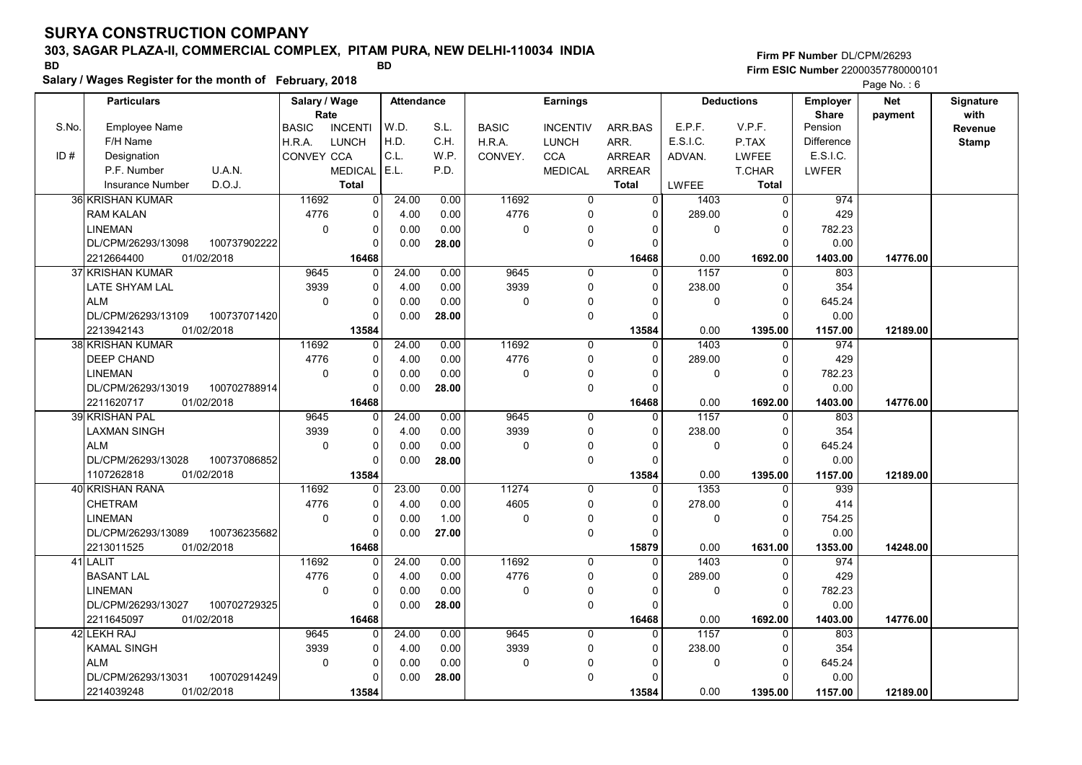# 303, SAGAR PLAZA-II, COMMERCIAL COMPLEX, PITAM PURA, NEW DELHI-110034 INDIA

Salary / Wages Register for the month of February, 2018

### Firm PF Number DL/CPM/26293 Firm ESIC Number <sup>22000357780000101</sup> BD BD

|       | <b>Particulars</b>                |              | Salary / Wage     |                | <b>Attendance</b> |       |              | <b>Earnings</b> |                |             | <b>Deductions</b> | <b>Employer</b>         | <b>Net</b> | Signature    |
|-------|-----------------------------------|--------------|-------------------|----------------|-------------------|-------|--------------|-----------------|----------------|-------------|-------------------|-------------------------|------------|--------------|
| S.No. | <b>Employee Name</b>              |              | Rate              | <b>INCENTI</b> | W.D.              | S.L.  | <b>BASIC</b> | <b>INCENTIV</b> |                | E.P.F.      | V.P.F.            | <b>Share</b><br>Pension | payment    | with         |
|       | F/H Name                          |              | <b>BASIC</b>      |                | H.D.              | C.H.  |              |                 | ARR.BAS        | E.S.I.C.    |                   | <b>Difference</b>       |            | Revenue      |
| ID#   |                                   |              | H.R.A.            | <b>LUNCH</b>   | C.L.              |       | H.R.A.       | <b>LUNCH</b>    | ARR.           |             | P.TAX             | E.S.I.C.                |            | <b>Stamp</b> |
|       | Designation                       |              | <b>CONVEY CCA</b> |                |                   | W.P.  | CONVEY.      | <b>CCA</b>      | <b>ARREAR</b>  | ADVAN.      | <b>LWFEE</b>      |                         |            |              |
|       | P.F. Number<br>U.A.N.             |              |                   | <b>MEDICAL</b> | E.L.              | P.D.  |              | <b>MEDICAL</b>  | ARREAR         |             | T.CHAR            | LWFER                   |            |              |
|       | D.O.J.<br><b>Insurance Number</b> |              |                   | <b>Total</b>   |                   |       |              |                 | <b>Total</b>   | LWFEE       | <b>Total</b>      |                         |            |              |
|       | 36 KRISHAN KUMAR                  |              | 11692             | $\overline{0}$ | 24.00             | 0.00  | 11692        | 0               | $\overline{0}$ | 1403        | $\overline{0}$    | 974                     |            |              |
|       | <b>RAM KALAN</b>                  |              | 4776              | 0              | 4.00              | 0.00  | 4776         | $\Omega$        | $\Omega$       | 289.00      | $\mathbf 0$       | 429                     |            |              |
|       | <b>LINEMAN</b>                    |              | $\mathbf 0$       | $\pmb{0}$      | 0.00              | 0.00  | 0            | $\Omega$        | $\Omega$       | 0           | $\mathbf 0$       | 782.23                  |            |              |
|       | DL/CPM/26293/13098                | 100737902222 |                   | $\mathbf 0$    | 0.00              | 28.00 |              | $\mathbf 0$     | $\Omega$       |             | $\Omega$          | 0.00                    |            |              |
|       | 2212664400<br>01/02/2018          |              |                   | 16468          |                   |       |              |                 | 16468          | 0.00        | 1692.00           | 1403.00                 | 14776.00   |              |
|       | 37 KRISHAN KUMAR                  |              | 9645              | $\mathbf 0$    | 24.00             | 0.00  | 9645         | $\mathbf 0$     | $\Omega$       | 1157        | $\mathbf 0$       | 803                     |            |              |
|       | LATE SHYAM LAL                    |              | 3939              | $\mathbf 0$    | 4.00              | 0.00  | 3939         | $\Omega$        | $\Omega$       | 238.00      | $\Omega$          | 354                     |            |              |
|       | <b>ALM</b>                        |              | $\Omega$          | 0              | 0.00              | 0.00  | 0            | $\mathbf 0$     | $\Omega$       | $\mathbf 0$ | $\mathbf 0$       | 645.24                  |            |              |
|       | DL/CPM/26293/13109                | 100737071420 |                   | $\mathbf 0$    | 0.00              | 28.00 |              | $\mathbf 0$     | $\Omega$       |             | $\Omega$          | 0.00                    |            |              |
|       | 2213942143<br>01/02/2018          |              |                   | 13584          |                   |       |              |                 | 13584          | 0.00        | 1395.00           | 1157.00                 | 12189.00   |              |
|       | 38 KRISHAN KUMAR                  |              | 11692             | $\mathbf 0$    | 24.00             | 0.00  | 11692        | $\Omega$        | $\Omega$       | 1403        | $\Omega$          | 974                     |            |              |
|       | <b>DEEP CHAND</b>                 |              | 4776              | $\mathbf 0$    | 4.00              | 0.00  | 4776         | $\mathbf 0$     | $\Omega$       | 289.00      | $\Omega$          | 429                     |            |              |
|       | <b>LINEMAN</b>                    |              | $\mathbf 0$       | $\mathbf 0$    | 0.00              | 0.00  | 0            | 0               | $\Omega$       | $\mathbf 0$ | $\mathbf 0$       | 782.23                  |            |              |
|       | DL/CPM/26293/13019                | 100702788914 |                   | 0              | 0.00              | 28.00 |              | 0               | $\Omega$       |             | $\Omega$          | 0.00                    |            |              |
|       | 2211620717<br>01/02/2018          |              |                   | 16468          |                   |       |              |                 | 16468          | 0.00        | 1692.00           | 1403.00                 | 14776.00   |              |
|       | 39 KRISHAN PAL                    |              | 9645              | $\Omega$       | 24.00             | 0.00  | 9645         | $\Omega$        | $\Omega$       | 1157        | $\Omega$          | 803                     |            |              |
|       | LAXMAN SINGH                      |              | 3939              | 0              | 4.00              | 0.00  | 3939         | $\Omega$        | $\Omega$       | 238.00      | $\Omega$          | 354                     |            |              |
|       | <b>ALM</b>                        |              | $\mathbf 0$       | 0              | 0.00              | 0.00  | 0            | 0               | $\Omega$       | $\mathbf 0$ | $\mathbf 0$       | 645.24                  |            |              |
|       | DL/CPM/26293/13028                | 100737086852 |                   | $\mathbf 0$    | 0.00              | 28.00 |              | $\mathbf 0$     | $\Omega$       |             | $\Omega$          | 0.00                    |            |              |
|       | 01/02/2018<br>1107262818          |              |                   | 13584          |                   |       |              |                 | 13584          | 0.00        | 1395.00           | 1157.00                 | 12189.00   |              |
|       | 40 KRISHAN RANA                   |              | 11692             | 0              | 23.00             | 0.00  | 11274        | $\Omega$        | $\Omega$       | 1353        | $\Omega$          | 939                     |            |              |
|       | <b>CHETRAM</b>                    |              | 4776              | $\mathbf 0$    | 4.00              | 0.00  | 4605         | 0               | $\Omega$       | 278.00      | $\mathbf 0$       | 414                     |            |              |
|       | <b>LINEMAN</b>                    |              | $\mathbf 0$       | $\pmb{0}$      | 0.00              | 1.00  | 0            | 0               | $\mathbf{0}$   | 0           | $\mathbf 0$       | 754.25                  |            |              |
|       | DL/CPM/26293/13089                | 100736235682 |                   | $\mathbf 0$    | 0.00              | 27.00 |              | $\mathbf 0$     | $\Omega$       |             | $\Omega$          | 0.00                    |            |              |
|       | 2213011525<br>01/02/2018          |              |                   | 16468          |                   |       |              |                 | 15879          | 0.00        | 1631.00           | 1353.00                 | 14248.00   |              |
|       | 41 LALIT                          |              | 11692             | $\Omega$       | 24.00             | 0.00  | 11692        | $\Omega$        | $\Omega$       | 1403        | $\mathbf{0}$      | 974                     |            |              |
|       | <b>BASANT LAL</b>                 |              | 4776              | 0              | 4.00              | 0.00  | 4776         | $\mathbf 0$     | 0              | 289.00      | $\mathbf 0$       | 429                     |            |              |
|       | <b>LINEMAN</b>                    |              | $\mathbf 0$       | 0              | 0.00              | 0.00  | 0            | $\mathbf 0$     | $\Omega$       | $\mathbf 0$ | $\mathbf 0$       | 782.23                  |            |              |
|       | DL/CPM/26293/13027                | 100702729325 |                   | $\Omega$       | 0.00              | 28.00 |              | $\pmb{0}$       | $\Omega$       |             | $\Omega$          | 0.00                    |            |              |
|       | 2211645097<br>01/02/2018          |              |                   | 16468          |                   |       |              |                 | 16468          | 0.00        | 1692.00           | 1403.00                 | 14776.00   |              |
|       | 42 LEKH RAJ                       |              | 9645              | $\mathbf 0$    | 24.00             | 0.00  | 9645         | $\mathbf 0$     | $\Omega$       | 1157        | $\mathbf 0$       | 803                     |            |              |
|       | <b>KAMAL SINGH</b>                |              | 3939              | 0              | 4.00              | 0.00  | 3939         | $\mathbf 0$     | $\mathbf{0}$   | 238.00      | $\mathbf 0$       | 354                     |            |              |
|       | <b>ALM</b>                        |              | $\mathbf 0$       | 0              | 0.00              | 0.00  | 0            | 0               | $\Omega$       | 0           | $\mathbf 0$       | 645.24                  |            |              |
|       | DL/CPM/26293/13031                | 100702914249 |                   | $\Omega$       | 0.00              | 28.00 |              | $\Omega$        | $\Omega$       |             | $\Omega$          | 0.00                    |            |              |
|       | 01/02/2018<br>2214039248          |              |                   | 13584          |                   |       |              |                 | 13584          | 0.00        | 1395.00           | 1157.00                 | 12189.00   |              |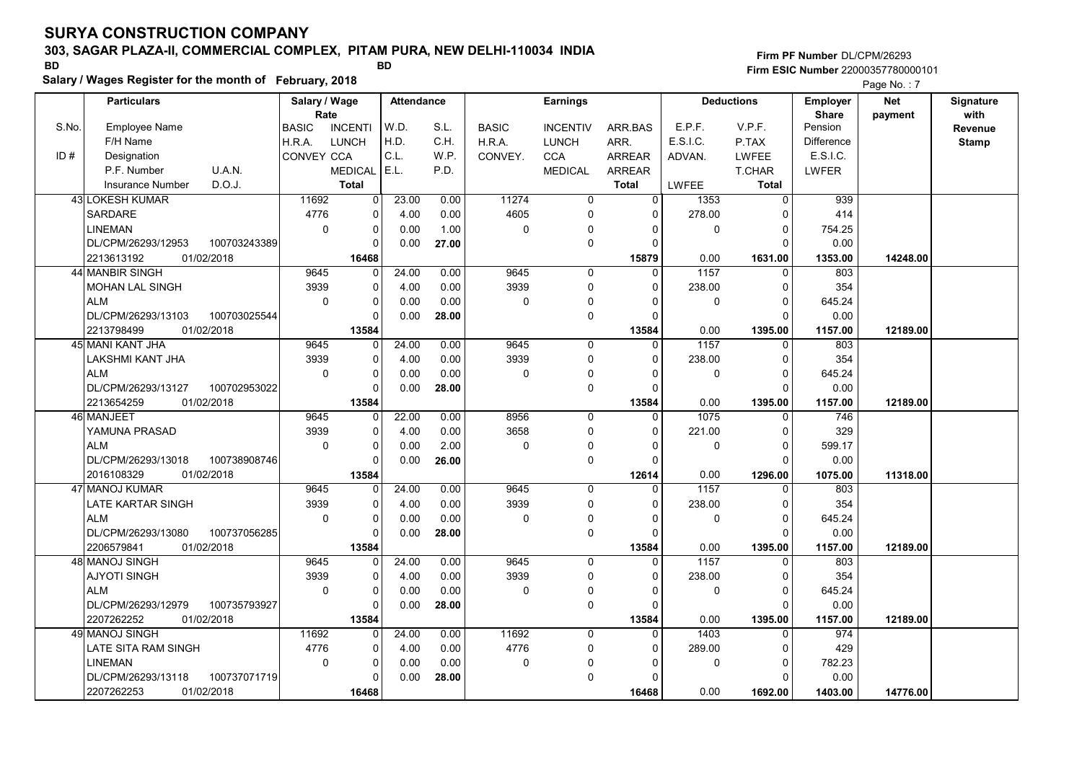# 303, SAGAR PLAZA-II, COMMERCIAL COMPLEX, PITAM PURA, NEW DELHI-110034 INDIA

Salary / Wages Register for the month of February, 2018

### Firm PF Number DL/CPM/26293 Firm ESIC Number <sup>22000357780000101</sup> BD BD

|       | <b>Particulars</b>                 | Salary / Wage |                          | Attendance    |              |              | <b>Earnings</b>            |                      |                | <b>Deductions</b>   | <b>Employer</b>   | <b>Net</b> | Signature    |
|-------|------------------------------------|---------------|--------------------------|---------------|--------------|--------------|----------------------------|----------------------|----------------|---------------------|-------------------|------------|--------------|
| S.No. |                                    | Rate          |                          |               |              |              |                            |                      | E.P.F.         |                     | <b>Share</b>      | payment    | with         |
|       | <b>Employee Name</b>               | <b>BASIC</b>  | <b>INCENTI</b>           | W.D.<br>H.D.  | S.L.         | <b>BASIC</b> | <b>INCENTIV</b>            | ARR.BAS              |                | V.P.F.              | Pension           |            | Revenue      |
| ID#   | F/H Name                           | H.R.A.        | <b>LUNCH</b>             | C.L.          | C.H.         | H.R.A.       | <b>LUNCH</b>               | ARR.                 | E.S.I.C.       | P.TAX               | <b>Difference</b> |            | <b>Stamp</b> |
|       | Designation                        | CONVEY CCA    |                          |               | W.P.         | CONVEY.      | <b>CCA</b>                 | <b>ARREAR</b>        | ADVAN.         | <b>LWFEE</b>        | E.S.I.C.          |            |              |
|       | U.A.N.<br>P.F. Number              |               | <b>MEDICAL</b>           | E.L.          | P.D.         |              | <b>MEDICAL</b>             | <b>ARREAR</b>        |                | T.CHAR              | <b>LWFER</b>      |            |              |
|       | D.O.J.<br>Insurance Number         |               | <b>Total</b>             |               |              |              |                            | <b>Total</b>         | <b>LWFEE</b>   | Total               |                   |            |              |
|       | <b>43 LOKESH KUMAR</b>             | 11692         | $\Omega$                 | 23.00         | 0.00         | 11274        | 0                          | 0                    | 1353           | 0                   | 939               |            |              |
|       | <b>SARDARE</b>                     | 4776          | $\mathbf 0$              | 4.00          | 0.00         | 4605         | $\pmb{0}$                  | 0                    | 278.00         | O                   | 414               |            |              |
|       | <b>LINEMAN</b>                     | $\Omega$      | $\mathbf 0$              | 0.00          | 1.00         | 0            | $\mathbf 0$                | $\Omega$             | $\mathbf 0$    | $\Omega$            | 754.25            |            |              |
|       | 100703243389<br>DL/CPM/26293/12953 |               | $\Omega$                 | 0.00          | 27.00        |              | $\mathbf 0$                | $\Omega$             |                | $\Omega$            | 0.00              |            |              |
|       | 2213613192<br>01/02/2018           |               | 16468                    |               |              |              |                            | 15879                | 0.00           | 1631.00             | 1353.00           | 14248.00   |              |
|       | 44 MANBIR SINGH                    | 9645          | $\mathbf 0$              | 24.00         | 0.00         | 9645         | $\overline{0}$             | $\Omega$             | 1157           | $\mathbf{0}$        | 803               |            |              |
|       | <b>MOHAN LAL SINGH</b>             | 3939          | $\Omega$                 | 4.00          | 0.00         | 3939         | $\mathbf 0$                | $\Omega$             | 238.00         | $\Omega$            | 354               |            |              |
|       | <b>ALM</b>                         | $\Omega$      | $\Omega$                 | 0.00          | 0.00         | 0            | 0                          | $\Omega$             | $\mathbf 0$    | $\Omega$            | 645.24            |            |              |
|       | DL/CPM/26293/13103<br>100703025544 |               | $\Omega$                 | 0.00          | 28.00        |              | $\mathbf 0$                | $\Omega$             |                | $\Omega$            | 0.00              |            |              |
|       | 2213798499<br>01/02/2018           |               | 13584                    |               |              |              |                            | 13584                | 0.00           | 1395.00             | 1157.00           | 12189.00   |              |
|       | 45 MANI KANT JHA                   | 9645          | $\Omega$                 | 24.00         | 0.00         | 9645         | $\mathbf 0$                | $\Omega$             | 1157           | $\Omega$            | 803               |            |              |
|       | LAKSHMI KANT JHA                   | 3939          | $\Omega$                 | 4.00          | 0.00         | 3939         | 0                          | $\Omega$             | 238.00         | $\Omega$            | 354               |            |              |
|       | <b>ALM</b>                         | 0             | $\mathbf 0$              | 0.00          | 0.00         | 0            | 0                          | $\Omega$             | $\mathbf 0$    | $\mathbf 0$         | 645.24            |            |              |
|       | DL/CPM/26293/13127<br>100702953022 |               | $\Omega$                 | 0.00          | 28.00        |              | $\mathbf 0$                | $\Omega$             |                | $\Omega$            | 0.00              |            |              |
|       | 2213654259<br>01/02/2018           |               | 13584                    |               |              |              |                            | 13584                | 0.00           | 1395.00             | 1157.00           | 12189.00   |              |
|       | 46 MANJEET<br>YAMUNA PRASAD        | 9645<br>3939  | $\mathbf{0}$<br>$\Omega$ | 22.00<br>4.00 | 0.00<br>0.00 | 8956<br>3658 | $\mathbf 0$<br>$\mathbf 0$ | $\Omega$<br>$\Omega$ | 1075<br>221.00 | 0<br>$\Omega$       | 746<br>329        |            |              |
|       | <b>ALM</b>                         | $\Omega$      | $\Omega$                 |               | 2.00         | 0            |                            | $\Omega$             | $\mathbf 0$    | $\Omega$            | 599.17            |            |              |
|       | 100738908746<br>DL/CPM/26293/13018 |               | $\Omega$                 | 0.00<br>0.00  | 26.00        |              | 0<br>$\mathbf 0$           | $\Omega$             |                | $\Omega$            | 0.00              |            |              |
|       | 2016108329<br>01/02/2018           |               |                          |               |              |              |                            |                      | 0.00           |                     |                   |            |              |
|       | 47 MANOJ KUMAR                     | 9645          | 13584<br>$\Omega$        | 24.00         | 0.00         | 9645         | $\mathbf{0}$               | 12614<br>$\Omega$    | 1157           | 1296.00<br>$\Omega$ | 1075.00<br>803    | 11318.00   |              |
|       | LATE KARTAR SINGH                  | 3939          | $\Omega$                 | 4.00          | 0.00         | 3939         | $\mathbf 0$                | $\Omega$             | 238.00         | $\Omega$            | 354               |            |              |
|       | <b>ALM</b>                         | $\mathbf 0$   | $\mathbf 0$              | 0.00          | 0.00         | 0            | 0                          | 0                    | 0              | 0                   | 645.24            |            |              |
|       | DL/CPM/26293/13080<br>100737056285 |               | $\Omega$                 | 0.00          | 28.00        |              | $\mathbf 0$                | $\Omega$             |                | $\Omega$            | 0.00              |            |              |
|       | 2206579841<br>01/02/2018           |               | 13584                    |               |              |              |                            | 13584                | 0.00           | 1395.00             | 1157.00           | 12189.00   |              |
|       | 48 MANOJ SINGH                     | 9645          | $\Omega$                 | 24.00         | 0.00         | 9645         | $\mathbf 0$                | $\Omega$             | 1157           | $\Omega$            | 803               |            |              |
|       | <b>AJYOTI SINGH</b>                | 3939          | $\mathbf 0$              | 4.00          | 0.00         | 3939         | 0                          | 0                    | 238.00         | 0                   | 354               |            |              |
|       | <b>ALM</b>                         | $\Omega$      | $\Omega$                 | 0.00          | 0.00         | 0            | $\mathbf 0$                | $\Omega$             | $\Omega$       | $\Omega$            | 645.24            |            |              |
|       | DL/CPM/26293/12979<br>100735793927 |               | $\Omega$                 | 0.00          | 28.00        |              | $\mathbf 0$                | $\Omega$             |                | $\Omega$            | 0.00              |            |              |
|       | 2207262252<br>01/02/2018           |               | 13584                    |               |              |              |                            | 13584                | 0.00           | 1395.00             | 1157.00           | 12189.00   |              |
|       | 49 MANOJ SINGH                     | 11692         | $\Omega$                 | 24.00         | 0.00         | 11692        | $\mathbf 0$                | $\Omega$             | 1403           | $\Omega$            | 974               |            |              |
|       | LATE SITA RAM SINGH                | 4776          | $\Omega$                 | 4.00          | 0.00         | 4776         | 0                          | 0                    | 289.00         | 0                   | 429               |            |              |
|       | <b>LINEMAN</b>                     | $\mathbf 0$   | $\mathbf 0$              | 0.00          | 0.00         | 0            | 0                          | $\Omega$             | $\mathbf 0$    | $\Omega$            | 782.23            |            |              |
|       | DL/CPM/26293/13118<br>100737071719 |               | $\Omega$                 | 0.00          | 28.00        |              | 0                          | $\Omega$             |                | $\Omega$            | 0.00              |            |              |
|       | 2207262253<br>01/02/2018           |               | 16468                    |               |              |              |                            | 16468                | 0.00           | 1692.00             | 1403.00           | 14776.00   |              |
|       |                                    |               |                          |               |              |              |                            |                      |                |                     |                   |            |              |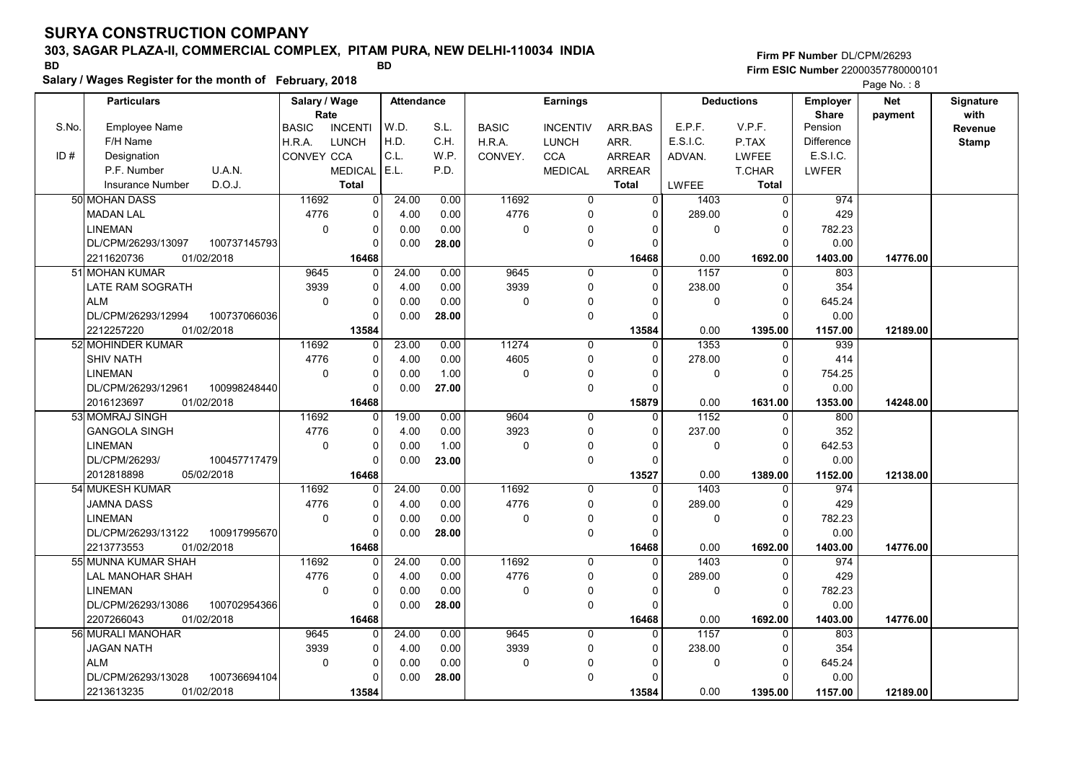# 303, SAGAR PLAZA-II, COMMERCIAL COMPLEX, PITAM PURA, NEW DELHI-110034 INDIA

Salary / Wages Register for the month of February, 2018

### Firm PF Number DL/CPM/26293 Firm ESIC Number <sup>22000357780000101</sup> BD BD

|       | <b>Particulars</b>      |              | Salary / Wage |                | <b>Attendance</b> |       |              | <b>Earnings</b> |                |              | <b>Deductions</b> | <b>Employer</b>   | <b>Net</b> | Signature    |
|-------|-------------------------|--------------|---------------|----------------|-------------------|-------|--------------|-----------------|----------------|--------------|-------------------|-------------------|------------|--------------|
|       |                         |              | Rate          |                |                   | S.L.  |              |                 |                | E.P.F.       | V.P.F.            | <b>Share</b>      | payment    | with         |
| S.No. | <b>Employee Name</b>    |              | <b>BASIC</b>  | <b>INCENTI</b> | W.D.<br>H.D.      |       | <b>BASIC</b> | <b>INCENTIV</b> | ARR BAS        | E.S.I.C.     |                   | Pension           |            | Revenue      |
|       | F/H Name                |              | H.R.A.        | <b>LUNCH</b>   | C.L.              | C.H.  | H.R.A.       | <b>LUNCH</b>    | ARR.           |              | P.TAX             | <b>Difference</b> |            | <b>Stamp</b> |
| ID#   | Designation             |              | CONVEY CCA    |                |                   | WP.   | CONVEY.      | <b>CCA</b>      | <b>ARREAR</b>  | ADVAN.       | <b>LWFEE</b>      | E.S.I.C.          |            |              |
|       | P.F. Number             | U.A.N.       |               | <b>MEDICAL</b> | E.L.              | P.D.  |              | <b>MEDICAL</b>  | <b>ARREAR</b>  |              | T.CHAR            | LWFER             |            |              |
|       | <b>Insurance Number</b> | D.O.J.       |               | <b>Total</b>   |                   |       |              |                 | <b>Total</b>   | <b>LWFEE</b> | Total             |                   |            |              |
|       | 50 MOHAN DASS           |              | 11692         | 0              | 24.00             | 0.00  | 11692        | 0               | $\overline{0}$ | 1403         | $\overline{0}$    | 974               |            |              |
|       | MADAN LAL               |              | 4776          | 0              | 4.00              | 0.00  | 4776         | 0               | $\mathbf 0$    | 289.00       | $\Omega$          | 429               |            |              |
|       | <b>LINEMAN</b>          |              | $\Omega$      | 0              | 0.00              | 0.00  | 0            | 0               | $\Omega$       | $\Omega$     | $\Omega$          | 782.23            |            |              |
|       | DL/CPM/26293/13097      | 100737145793 |               | $\Omega$       | 0.00              | 28.00 |              | $\mathbf 0$     | $\Omega$       |              | $\Omega$          | 0.00              |            |              |
|       | 2211620736              | 01/02/2018   |               | 16468          |                   |       |              |                 | 16468          | 0.00         | 1692.00           | 1403.00           | 14776.00   |              |
|       | 51 MOHAN KUMAR          |              | 9645          | 0              | 24.00             | 0.00  | 9645         | $\mathbf 0$     | 0              | 1157         | $\mathbf 0$       | 803               |            |              |
|       | LATE RAM SOGRATH        |              | 3939          | 0              | 4.00              | 0.00  | 3939         | $\mathbf 0$     | $\Omega$       | 238.00       | $\Omega$          | 354               |            |              |
|       | <b>ALM</b>              |              | $\mathbf 0$   | 0              | 0.00              | 0.00  | 0            | 0               | $\Omega$       | 0            | $\mathbf{0}$      | 645.24            |            |              |
|       | DL/CPM/26293/12994      | 100737066036 |               | $\Omega$       | 0.00              | 28.00 |              | $\mathbf 0$     | $\Omega$       |              | $\Omega$          | 0.00              |            |              |
|       | 2212257220              | 01/02/2018   |               | 13584          |                   |       |              |                 | 13584          | 0.00         | 1395.00           | 1157.00           | 12189.00   |              |
|       | 52 MOHINDER KUMAR       |              | 11692         | 0              | 23.00             | 0.00  | 11274        | $\mathbf 0$     | $\Omega$       | 1353         | $\mathbf{0}$      | 939               |            |              |
|       | <b>SHIV NATH</b>        |              | 4776          | 0              | 4.00              | 0.00  | 4605         | $\mathbf 0$     | $\Omega$       | 278.00       | $\Omega$          | 414               |            |              |
|       | <b>LINEMAN</b>          |              | $\mathbf 0$   | 0              | 0.00              | 1.00  | 0            | 0               | $\Omega$       | 0            | $\mathbf 0$       | 754.25            |            |              |
|       | DL/CPM/26293/12961      | 100998248440 |               | 0              | 0.00              | 27.00 |              | 0               | $\mathbf 0$    |              | $\Omega$          | 0.00              |            |              |
|       | 2016123697              | 01/02/2018   |               | 16468          |                   |       |              |                 | 15879          | 0.00         | 1631.00           | 1353.00           | 14248.00   |              |
|       | 53 MOMRAJ SINGH         |              | 11692         | $\Omega$       | 19.00             | 0.00  | 9604         | $\Omega$        | $\Omega$       | 1152         | $\Omega$          | 800               |            |              |
|       | <b>GANGOLA SINGH</b>    |              | 4776          | 0              | 4.00              | 0.00  | 3923         | $\mathbf 0$     | $\Omega$       | 237.00       | $\Omega$          | 352               |            |              |
|       | <b>LINEMAN</b>          |              | $\mathbf 0$   | 0              | 0.00              | 1.00  | $\mathbf 0$  | 0               | $\Omega$       | $\mathbf 0$  | $\mathbf 0$       | 642.53            |            |              |
|       | DL/CPM/26293/           | 100457717479 |               | 0              | 0.00              | 23.00 |              | $\mathbf 0$     | $\Omega$       |              | $\Omega$          | 0.00              |            |              |
|       | 2012818898              | 05/02/2018   |               | 16468          |                   |       |              |                 | 13527          | 0.00         | 1389.00           | 1152.00           | 12138.00   |              |
|       | 54 MUKESH KUMAR         |              | 11692         | $\Omega$       | 24.00             | 0.00  | 11692        | $\Omega$        | $\Omega$       | 1403         | $\Omega$          | 974               |            |              |
|       | JAMNA DASS              |              | 4776          | 0              | 4.00              | 0.00  | 4776         | $\mathbf 0$     | $\Omega$       | 289.00       | $\Omega$          | 429               |            |              |
|       | <b>LINEMAN</b>          |              | $\mathbf 0$   | 0              | 0.00              | 0.00  | 0            | $\Omega$        | $\Omega$       | $\mathbf 0$  | $\mathbf 0$       | 782.23            |            |              |
|       | DL/CPM/26293/13122      | 100917995670 |               | $\Omega$       | 0.00              | 28.00 |              | $\mathbf 0$     | $\Omega$       |              | $\Omega$          | 0.00              |            |              |
|       | 2213773553              | 01/02/2018   |               | 16468          |                   |       |              |                 | 16468          | 0.00         | 1692.00           | 1403.00           | 14776.00   |              |
|       | 55 MUNNA KUMAR SHAH     |              | 11692         | 0              | 24.00             | 0.00  | 11692        | 0               | $\Omega$       | 1403         | $\mathbf 0$       | 974               |            |              |
|       | <b>LAL MANOHAR SHAH</b> |              | 4776          | 0              | 4.00              | 0.00  | 4776         | $\Omega$        | $\Omega$       | 289.00       | $\mathbf 0$       | 429               |            |              |
|       | <b>LINEMAN</b>          |              | $\Omega$      | 0              | 0.00              | 0.00  | 0            | $\mathbf 0$     | $\Omega$       | 0            | $\Omega$          | 782.23            |            |              |
|       | DL/CPM/26293/13086      | 100702954366 |               | $\Omega$       | 0.00              | 28.00 |              | $\mathbf 0$     | $\Omega$       |              | $\Omega$          | 0.00              |            |              |
|       | 2207266043              | 01/02/2018   |               | 16468          |                   |       |              |                 | 16468          | 0.00         | 1692.00           | 1403.00           | 14776.00   |              |
|       | 56 MURALI MANOHAR       |              | 9645          | 0              | 24.00             | 0.00  | 9645         | $\mathbf 0$     | 0              | 1157         | $\mathbf 0$       | 803               |            |              |
|       | <b>JAGAN NATH</b>       |              | 3939          | 0              | 4.00              | 0.00  | 3939         | 0               | $\Omega$       | 238.00       | $\Omega$          | 354               |            |              |
|       | <b>ALM</b>              |              | $\mathbf 0$   | 0              | 0.00              | 0.00  | 0            | $\mathbf 0$     | $\Omega$       | 0            | $\Omega$          | 645.24            |            |              |
|       | DL/CPM/26293/13028      | 100736694104 |               | $\Omega$       | 0.00              | 28.00 |              | $\Omega$        | $\Omega$       |              | $\Omega$          | 0.00              |            |              |
|       | 2213613235              | 01/02/2018   |               | 13584          |                   |       |              |                 | 13584          | 0.00         | 1395.00           | 1157.00           | 12189.00   |              |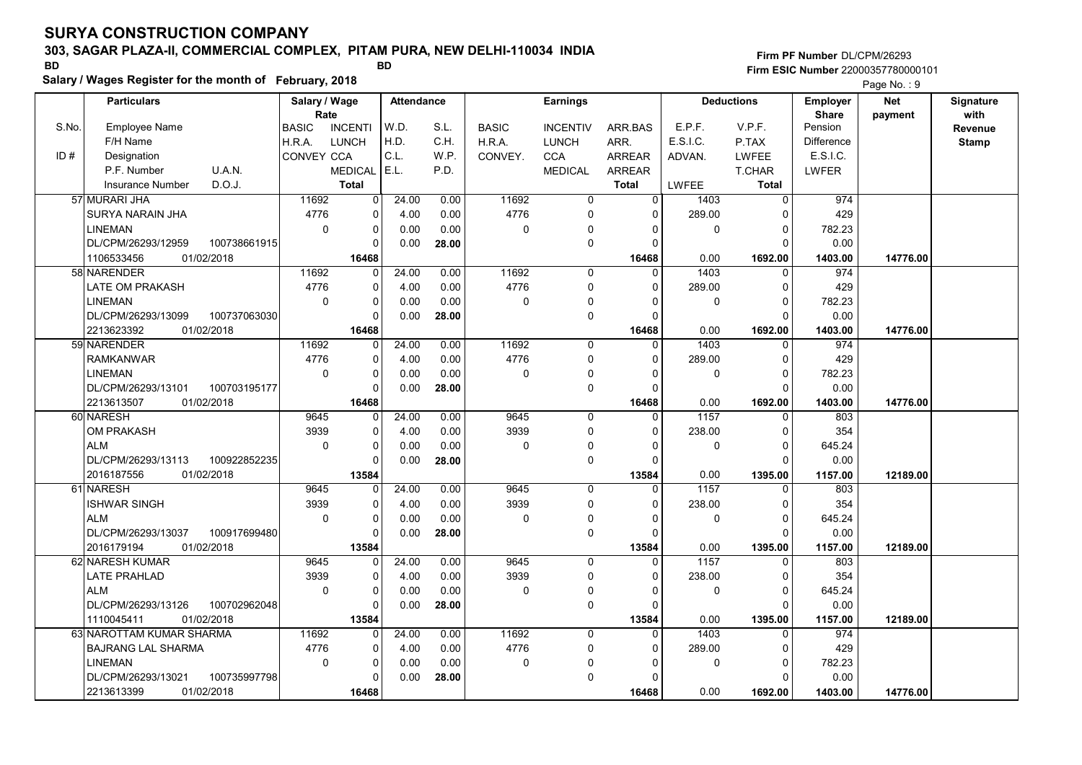# 303, SAGAR PLAZA-II, COMMERCIAL COMPLEX, PITAM PURA, NEW DELHI-110034 INDIA

Salary / Wages Register for the month of February, 2018

### Firm PF Number DL/CPM/26293 Firm ESIC Number <sup>22000357780000101</sup> BD BD

|       |                          |              |                       |                |                   |       |              |                 |               |              |                   |                                 | <b>Faye IVO.</b> . 9  |                   |
|-------|--------------------------|--------------|-----------------------|----------------|-------------------|-------|--------------|-----------------|---------------|--------------|-------------------|---------------------------------|-----------------------|-------------------|
|       | <b>Particulars</b>       |              | Salary / Wage<br>Rate |                | <b>Attendance</b> |       |              | <b>Earnings</b> |               |              | <b>Deductions</b> | <b>Employer</b><br><b>Share</b> | <b>Net</b><br>payment | Signature<br>with |
| S.No. | <b>Employee Name</b>     |              | <b>BASIC</b>          | <b>INCENTI</b> | W.D.              | S.L.  | <b>BASIC</b> | <b>INCENTIV</b> | ARR.BAS       | E.P.F.       | V.P.F.            | Pension                         |                       | Revenue           |
|       | F/H Name                 |              | H.R.A.                | <b>LUNCH</b>   | H.D.              | C.H.  | H.R.A.       | <b>LUNCH</b>    | ARR.          | E.S.I.C.     | P.TAX             | <b>Difference</b>               |                       | Stamp             |
| ID#   | Designation              |              | <b>CONVEY CCA</b>     |                | C.L.              | W.P.  | CONVEY.      | <b>CCA</b>      | <b>ARREAR</b> | ADVAN.       | <b>LWFEE</b>      | E.S.I.C.                        |                       |                   |
|       | P.F. Number              | U.A.N.       |                       | <b>MEDICAL</b> | E.L.              | P.D.  |              | <b>MEDICAL</b>  | <b>ARREAR</b> |              | T.CHAR            | LWFER                           |                       |                   |
|       | <b>Insurance Number</b>  | D.O.J.       |                       | <b>Total</b>   |                   |       |              |                 | <b>Total</b>  | <b>LWFEE</b> | <b>Total</b>      |                                 |                       |                   |
|       | 57 MURARI JHA            |              | 11692                 | $\Omega$       | 24.00             | 0.00  | 11692        | $\mathbf 0$     | $\Omega$      | 1403         | $\mathbf 0$       | 974                             |                       |                   |
|       | <b>SURYA NARAIN JHA</b>  |              | 4776                  | $\mathbf 0$    | 4.00              | 0.00  | 4776         | $\mathbf 0$     | $\mathbf{0}$  | 289.00       | $\Omega$          | 429                             |                       |                   |
|       | <b>LINEMAN</b>           |              | $\Omega$              | $\Omega$       | 0.00              | 0.00  | $\mathbf 0$  | $\mathbf{0}$    | $\Omega$      | 0            | $\Omega$          | 782.23                          |                       |                   |
|       | DL/CPM/26293/12959       | 100738661915 |                       | $\mathbf 0$    | 0.00              |       |              | $\mathbf 0$     | $\Omega$      |              | $\Omega$          | 0.00                            |                       |                   |
|       |                          |              |                       |                |                   | 28.00 |              |                 |               |              |                   |                                 |                       |                   |
|       | 1106533456               | 01/02/2018   |                       | 16468          |                   |       |              |                 | 16468         | 0.00         | 1692.00           | 1403.00                         | 14776.00              |                   |
|       | 58 NARENDER              |              | 11692                 | 0              | 24.00             | 0.00  | 11692        | $\Omega$        | $\Omega$      | 1403         | $\Omega$          | 974                             |                       |                   |
|       | <b>LATE OM PRAKASH</b>   |              | 4776                  | $\Omega$       | 4.00              | 0.00  | 4776         | $\Omega$        | $\Omega$      | 289.00       | $\Omega$          | 429                             |                       |                   |
|       | <b>LINEMAN</b>           |              | $\mathbf 0$           | $\mathbf 0$    | 0.00              | 0.00  | 0            | $\Omega$        | $\Omega$      | 0            | $\mathbf 0$       | 782.23                          |                       |                   |
|       | DL/CPM/26293/13099       | 100737063030 |                       | $\Omega$       | 0.00              | 28.00 |              | $\mathbf 0$     | $\Omega$      |              | $\Omega$          | 0.00                            |                       |                   |
|       | 2213623392               | 01/02/2018   |                       | 16468          |                   |       |              |                 | 16468         | 0.00         | 1692.00           | 1403.00                         | 14776.00              |                   |
|       | 59 NARENDER              |              | 11692                 | $\Omega$       | 24.00             | 0.00  | 11692        | $\Omega$        | $\Omega$      | 1403         | $\Omega$          | 974                             |                       |                   |
|       | <b>RAMKANWAR</b>         |              | 4776                  | $\mathbf 0$    | 4.00              | 0.00  | 4776         | $\mathbf 0$     | $\Omega$      | 289.00       | $\mathbf 0$       | 429                             |                       |                   |
|       | <b>LINEMAN</b>           |              | $\Omega$              | $\mathbf 0$    | 0.00              | 0.00  | 0            | $\mathbf{0}$    | $\Omega$      | 0            | $\Omega$          | 782.23                          |                       |                   |
|       | DL/CPM/26293/13101       | 100703195177 |                       | $\Omega$       | 0.00              | 28.00 |              | $\mathbf 0$     | $\Omega$      |              | $\Omega$          | 0.00                            |                       |                   |
|       | 2213613507               | 01/02/2018   |                       | 16468          |                   |       |              |                 | 16468         | 0.00         | 1692.00           | 1403.00                         | 14776.00              |                   |
|       | 60 NARESH                |              | 9645                  | $\Omega$       | 24.00             | 0.00  | 9645         | $\mathbf 0$     | $\Omega$      | 1157         | $\Omega$          | 803                             |                       |                   |
|       | OM PRAKASH               |              | 3939                  | $\mathbf 0$    | 4.00              | 0.00  | 3939         | $\Omega$        | $\Omega$      | 238.00       | $\Omega$          | 354                             |                       |                   |
|       | <b>ALM</b>               |              | $\mathbf 0$           | $\mathbf 0$    | 0.00              | 0.00  | $\mathbf 0$  | $\mathbf 0$     | $\Omega$      | 0            | $\Omega$          | 645.24                          |                       |                   |
|       | DL/CPM/26293/13113       | 100922852235 |                       | $\Omega$       | 0.00              | 28.00 |              | $\Omega$        | $\Omega$      |              | $\Omega$          | 0.00                            |                       |                   |
|       | 2016187556               | 01/02/2018   |                       | 13584          |                   |       |              |                 | 13584         | 0.00         | 1395.00           | 1157.00                         | 12189.00              |                   |
|       | 61 NARESH                |              | 9645                  | 0              | 24.00             | 0.00  | 9645         | $\Omega$        | $\Omega$      | 1157         | $\Omega$          | 803                             |                       |                   |
|       | <b>ISHWAR SINGH</b>      |              | 3939                  | $\mathbf 0$    | 4.00              | 0.00  | 3939         | $\Omega$        | $\Omega$      | 238.00       | $\Omega$          | 354                             |                       |                   |
|       | <b>ALM</b>               |              | $\Omega$              | $\Omega$       | 0.00              | 0.00  | $\mathbf 0$  | $\mathbf 0$     | $\Omega$      | 0            | $\Omega$          | 645.24                          |                       |                   |
|       | DL/CPM/26293/13037       | 100917699480 |                       | $\mathbf 0$    | 0.00              | 28.00 |              | $\mathbf 0$     | $\Omega$      |              | $\Omega$          | 0.00                            |                       |                   |
|       | 2016179194               | 01/02/2018   |                       | 13584          |                   |       |              |                 | 13584         | 0.00         | 1395.00           | 1157.00                         | 12189.00              |                   |
|       | 62 NARESH KUMAR          |              | 9645                  | $\Omega$       | 24.00             | 0.00  | 9645         | $\Omega$        | $\Omega$      | 1157         | $\Omega$          | 803                             |                       |                   |
|       | <b>LATE PRAHLAD</b>      |              | 3939                  | $\Omega$       | 4.00              | 0.00  | 3939         | $\Omega$        | $\Omega$      | 238.00       | $\Omega$          | 354                             |                       |                   |
|       | <b>ALM</b>               |              | $\Omega$              | $\mathbf 0$    | 0.00              | 0.00  | $\mathbf 0$  | $\mathbf 0$     | $\Omega$      | 0            | $\Omega$          | 645.24                          |                       |                   |
|       | DL/CPM/26293/13126       | 100702962048 |                       | $\Omega$       | 0.00              | 28.00 |              | $\Omega$        | $\Omega$      |              | $\Omega$          | 0.00                            |                       |                   |
|       | 1110045411               | 01/02/2018   |                       | 13584          |                   |       |              |                 | 13584         | 0.00         | 1395.00           | 1157.00                         | 12189.00              |                   |
|       | 63 NAROTTAM KUMAR SHARMA |              | 11692                 | $\Omega$       | 24.00             | 0.00  | 11692        | $\Omega$        | $\Omega$      | 1403         | $\Omega$          | 974                             |                       |                   |
|       | BAJRANG LAL SHARMA       |              | 4776                  | $\mathbf 0$    | 4.00              | 0.00  | 4776         | $\mathbf 0$     | $\Omega$      | 289.00       | $\Omega$          | 429                             |                       |                   |
|       | <b>LINEMAN</b>           |              | $\mathbf 0$           | $\mathbf 0$    | 0.00              | 0.00  | $\Omega$     | $\Omega$        | $\Omega$      | 0            | $\mathbf 0$       | 782.23                          |                       |                   |
|       | DL/CPM/26293/13021       | 100735997798 |                       | $\Omega$       | 0.00              | 28.00 |              | $\Omega$        | $\Omega$      |              | $\Omega$          | 0.00                            |                       |                   |
|       | 2213613399               | 01/02/2018   |                       | 16468          |                   |       |              |                 | 16468         | 0.00         | 1692.00           | 1403.00                         | 14776.00              |                   |
|       |                          |              |                       |                |                   |       |              |                 |               |              |                   |                                 |                       |                   |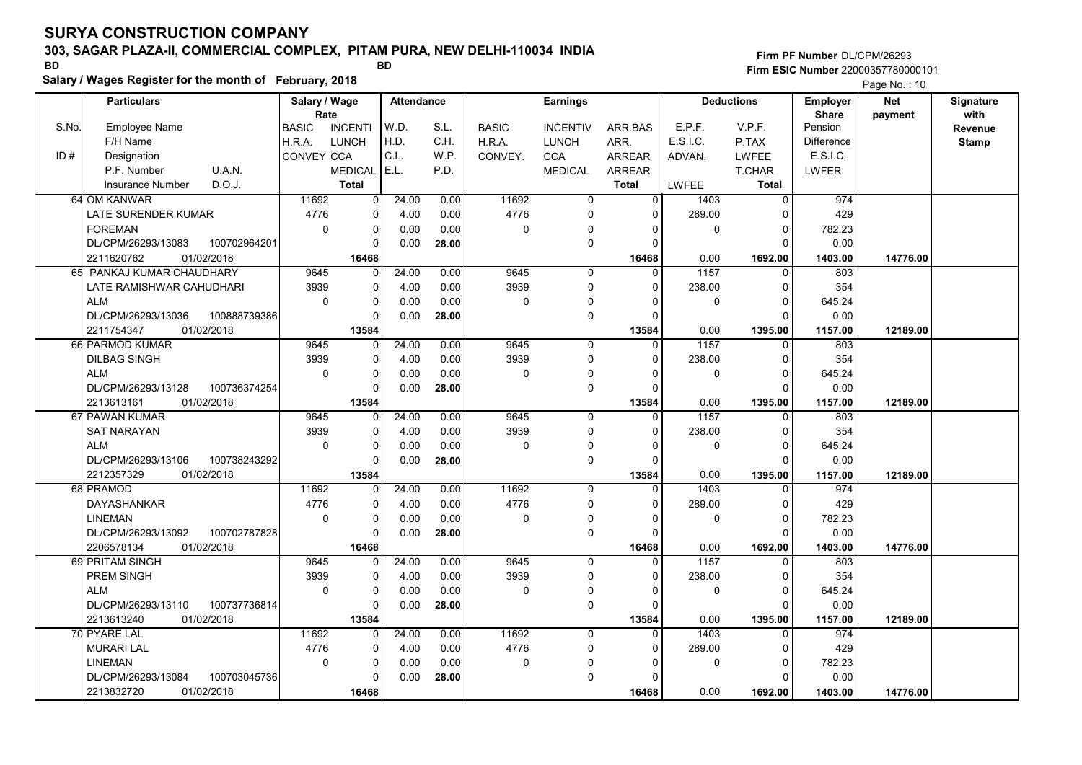# 303, SAGAR PLAZA-II, COMMERCIAL COMPLEX, PITAM PURA, NEW DELHI-110034 INDIA

Salary / Wages Register for the month of February, 2018

### Firm PF Number DL/CPM/26293 Firm ESIC Number <sup>22000357780000101</sup> BD BD

|       | <b>Particulars</b>                                    |              | Salary / Wage        |                         | <b>Attendance</b> |       |              | <b>Earnings</b>  |                      |              | <b>Deductions</b>       | <b>Employer</b>         | <b>Net</b> | Signature       |
|-------|-------------------------------------------------------|--------------|----------------------|-------------------------|-------------------|-------|--------------|------------------|----------------------|--------------|-------------------------|-------------------------|------------|-----------------|
| S.No. | <b>Employee Name</b>                                  |              | Rate<br><b>BASIC</b> | <b>INCENTI</b>          | W.D.              | S.L.  | <b>BASIC</b> | <b>INCENTIV</b>  | ARR.BAS              | E.P.F.       | V.P.F.                  | <b>Share</b><br>Pension | payment    | with<br>Revenue |
|       | F/H Name                                              |              | H.R.A.               | <b>LUNCH</b>            | H.D.              | C.H.  | H.R.A.       | <b>LUNCH</b>     | ARR.                 | E.S.I.C.     | P.TAX                   | <b>Difference</b>       |            | <b>Stamp</b>    |
| ID#   | Designation                                           |              | CONVEY CCA           |                         | C.L.              | W.P.  | CONVEY.      | <b>CCA</b>       | ARREAR               | ADVAN.       | <b>LWFEE</b>            | E.S.I.C.                |            |                 |
|       | U.A.N.<br>P.F. Number                                 |              |                      | <b>MEDICAL</b>          | E.L.              | P.D.  |              | <b>MEDICAL</b>   | <b>ARREAR</b>        |              | <b>T.CHAR</b>           | LWFER                   |            |                 |
|       | D.O.J.<br><b>Insurance Number</b>                     |              |                      | <b>Total</b>            |                   |       |              |                  | <b>Total</b>         | <b>LWFEE</b> | <b>Total</b>            |                         |            |                 |
|       | 64 OM KANWAR                                          |              | 11692                | $\mathbf 0$             | 24.00             | 0.00  | 11692        | $\mathbf 0$      | $\overline{0}$       | 1403         | $\overline{0}$          | 974                     |            |                 |
|       |                                                       |              |                      |                         |                   |       |              | $\Omega$         | $\Omega$             |              | $\Omega$                |                         |            |                 |
|       | LATE SURENDER KUMAR                                   |              | 4776                 | 0                       | 4.00              | 0.00  | 4776         |                  |                      | 289.00       | $\Omega$                | 429                     |            |                 |
|       | <b>FOREMAN</b><br>DL/CPM/26293/13083                  | 100702964201 | $\mathbf 0$          | $\mathbf 0$<br>$\Omega$ | 0.00<br>0.00      | 0.00  | $\mathbf 0$  | 0<br>$\mathbf 0$ | $\Omega$<br>$\Omega$ | 0            | $\Omega$                | 782.23<br>0.00          |            |                 |
|       |                                                       |              |                      |                         |                   | 28.00 |              |                  |                      |              |                         |                         |            |                 |
|       | 2211620762<br>01/02/2018<br>65 PANKAJ KUMAR CHAUDHARY |              | 9645                 | 16468<br>$\Omega$       |                   |       | 9645         | $\mathbf 0$      | 16468<br>$\Omega$    | 0.00<br>1157 | 1692.00                 | 1403.00                 | 14776.00   |                 |
|       |                                                       |              |                      | $\mathbf 0$             | 24.00             | 0.00  | 3939         | $\mathbf 0$      | $\Omega$             |              | $\mathbf 0$<br>$\Omega$ | 803                     |            |                 |
|       | LATE RAMISHWAR CAHUDHARI                              |              | 3939<br>$\Omega$     | $\mathbf 0$             | 4.00              | 0.00  | $\mathbf 0$  |                  | $\Omega$             | 238.00       | $\Omega$                | 354                     |            |                 |
|       | <b>ALM</b>                                            |              |                      | $\Omega$                | 0.00              | 0.00  |              | 0                | $\Omega$             | 0            | $\Omega$                | 645.24                  |            |                 |
|       | DL/CPM/26293/13036<br>01/02/2018<br>2211754347        | 100888739386 |                      | 13584                   | 0.00              | 28.00 |              | $\mathbf 0$      | 13584                | 0.00         | 1395.00                 | 0.00<br>1157.00         | 12189.00   |                 |
|       | 66 PARMOD KUMAR                                       |              | 9645                 | 0                       | 24.00             | 0.00  | 9645         | $\mathbf 0$      | $\Omega$             | 1157         | $\Omega$                | 803                     |            |                 |
|       | <b>DILBAG SINGH</b>                                   |              | 3939                 | 0                       | 4.00              | 0.00  | 3939         | $\mathbf 0$      | $\Omega$             | 238.00       | $\Omega$                | 354                     |            |                 |
|       | <b>ALM</b>                                            |              | $\Omega$             | $\mathbf 0$             | 0.00              | 0.00  | $\mathbf 0$  | $\mathbf{0}$     | $\Omega$             | 0            | $\Omega$                | 645.24                  |            |                 |
|       | DL/CPM/26293/13128                                    | 100736374254 |                      | $\Omega$                | 0.00              | 28.00 |              | $\mathbf 0$      | $\Omega$             |              | $\Omega$                | 0.00                    |            |                 |
|       | 2213613161<br>01/02/2018                              |              |                      | 13584                   |                   |       |              |                  | 13584                | 0.00         | 1395.00                 | 1157.00                 | 12189.00   |                 |
|       | 67 PAWAN KUMAR                                        |              | 9645                 | $\mathbf 0$             | 24.00             | 0.00  | 9645         | $\mathbf 0$      | $\Omega$             | 1157         | $\mathbf 0$             | 803                     |            |                 |
|       | <b>SAT NARAYAN</b>                                    |              | 3939                 | $\Omega$                | 4.00              | 0.00  | 3939         | $\Omega$         | $\Omega$             | 238.00       | $\Omega$                | 354                     |            |                 |
|       | <b>ALM</b>                                            |              | $\Omega$             | $\mathbf 0$             | 0.00              | 0.00  | $\mathbf 0$  | 0                | $\Omega$             | $\mathbf 0$  | $\Omega$                | 645.24                  |            |                 |
|       | DL/CPM/26293/13106                                    | 100738243292 |                      | 0                       | 0.00              | 28.00 |              | $\mathbf 0$      | $\Omega$             |              | $\Omega$                | 0.00                    |            |                 |
|       | 01/02/2018<br>2212357329                              |              |                      | 13584                   |                   |       |              |                  | 13584                | 0.00         | 1395.00                 | 1157.00                 | 12189.00   |                 |
|       | 68 PRAMOD                                             |              | 11692                | O                       | 24.00             | 0.00  | 11692        | $\Omega$         | $\Omega$             | 1403         | $\Omega$                | 974                     |            |                 |
|       | <b>DAYASHANKAR</b>                                    |              | 4776                 | $\Omega$                | 4.00              | 0.00  | 4776         | $\Omega$         | $\Omega$             | 289.00       | $\Omega$                | 429                     |            |                 |
|       | <b>LINEMAN</b>                                        |              | $\mathbf 0$          | $\mathbf 0$             | 0.00              | 0.00  | $\pmb{0}$    | $\Omega$         | $\Omega$             | 0            | $\mathbf 0$             | 782.23                  |            |                 |
|       | DL/CPM/26293/13092                                    | 100702787828 |                      | $\Omega$                | 0.00              | 28.00 |              | $\mathbf 0$      | $\Omega$             |              | $\Omega$                | 0.00                    |            |                 |
|       | 2206578134<br>01/02/2018                              |              |                      | 16468                   |                   |       |              |                  | 16468                | 0.00         | 1692.00                 | 1403.00                 | 14776.00   |                 |
|       | 69 PRITAM SINGH                                       |              | 9645                 | $\Omega$                | 24.00             | 0.00  | 9645         | $\mathbf 0$      | $\Omega$             | 1157         | $\Omega$                | 803                     |            |                 |
|       | PREM SINGH                                            |              | 3939                 | $\mathbf 0$             | 4.00              | 0.00  | 3939         | $\mathbf 0$      | $\Omega$             | 238.00       | $\mathbf 0$             | 354                     |            |                 |
|       | <b>ALM</b>                                            |              | $\mathbf 0$          | $\mathbf 0$             | 0.00              | 0.00  | 0            | $\mathbf 0$      | $\Omega$             | 0            | $\Omega$                | 645.24                  |            |                 |
|       | DL/CPM/26293/13110                                    | 100737736814 |                      | $\Omega$                | 0.00              | 28.00 |              | $\mathbf 0$      | $\Omega$             |              | $\Omega$                | 0.00                    |            |                 |
|       | 01/02/2018<br>2213613240                              |              |                      | 13584                   |                   |       |              |                  | 13584                | 0.00         | 1395.00                 | 1157.00                 | 12189.00   |                 |
|       | 70 PYARE LAL                                          |              | 11692                | $\mathbf 0$             | 24.00             | 0.00  | 11692        | $\mathbf 0$      | $\mathbf{0}$         | 1403         | $\mathbf 0$             | 974                     |            |                 |
|       | <b>MURARI LAL</b>                                     |              | 4776                 | $\mathbf 0$             | 4.00              | 0.00  | 4776         | 0                | $\Omega$             | 289.00       | $\Omega$                | 429                     |            |                 |
|       | <b>LINEMAN</b>                                        |              | $\mathbf 0$          | $\mathbf 0$             | 0.00              | 0.00  | 0            | 0                | $\Omega$             | 0            | $\Omega$                | 782.23                  |            |                 |
|       | DL/CPM/26293/13084                                    | 100703045736 |                      | $\Omega$                | 0.00              | 28.00 |              | $\Omega$         | O                    |              | $\Omega$                | 0.00                    |            |                 |
|       | 2213832720<br>01/02/2018                              |              |                      | 16468                   |                   |       |              |                  | 16468                | 0.00         | 1692.00                 | 1403.00                 | 14776.00   |                 |
|       |                                                       |              |                      |                         |                   |       |              |                  |                      |              |                         |                         |            |                 |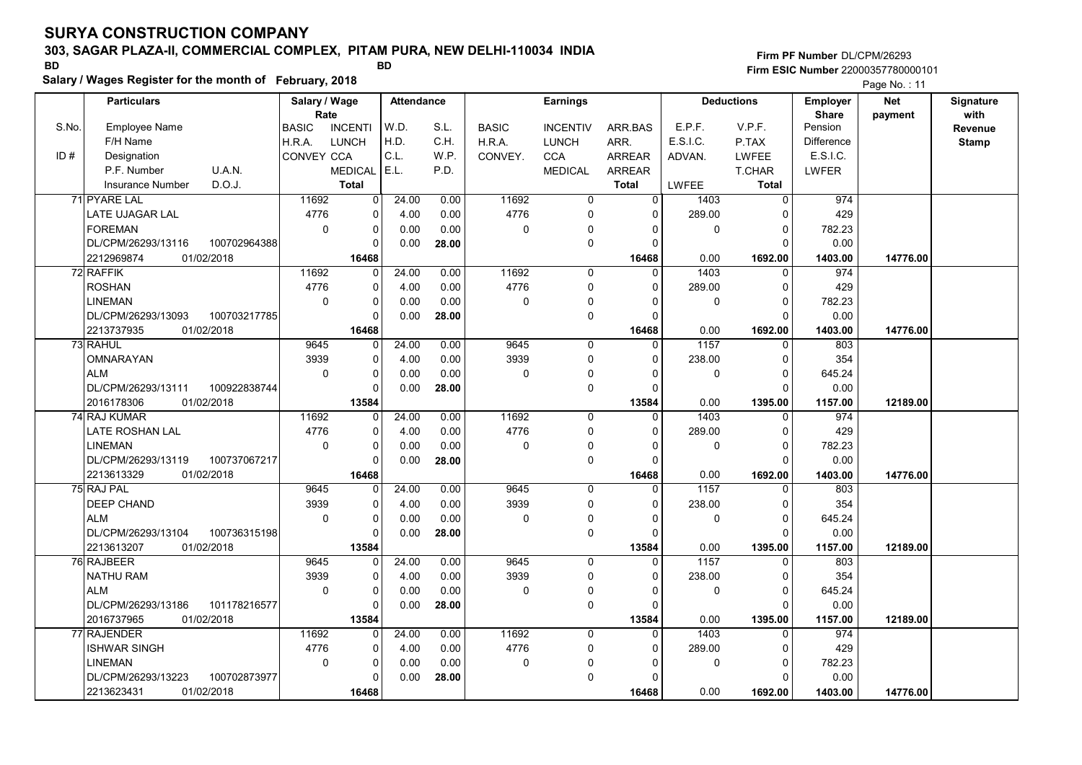# 303, SAGAR PLAZA-II, COMMERCIAL COMPLEX, PITAM PURA, NEW DELHI-110034 INDIA

Salary / Wages Register for the month of February, 2018

### Firm PF Number DL/CPM/26293 Firm ESIC Number <sup>22000357780000101</sup> BD BD

|       |                         |              |                       |                |                   |       |              |                 |                |             |                   |                          | $\Gamma$ aye ive. $\Gamma$ i |                   |
|-------|-------------------------|--------------|-----------------------|----------------|-------------------|-------|--------------|-----------------|----------------|-------------|-------------------|--------------------------|------------------------------|-------------------|
|       | <b>Particulars</b>      |              | Salary / Wage<br>Rate |                | <b>Attendance</b> |       |              | <b>Earnings</b> |                |             | <b>Deductions</b> | Employer<br><b>Share</b> | <b>Net</b><br>payment        | Signature<br>with |
| S.No. | <b>Employee Name</b>    |              | <b>BASIC</b>          | <b>INCENTI</b> | W.D.              | S.L.  | <b>BASIC</b> | <b>INCENTIV</b> | ARR.BAS        | E.P.F.      | V.P.F.            | Pension                  |                              | Revenue           |
|       | F/H Name                |              | H.R.A.                | <b>LUNCH</b>   | H.D.              | C.H.  | H.R.A.       | <b>LUNCH</b>    | ARR.           | E.S.I.C.    | P.TAX             | <b>Difference</b>        |                              | <b>Stamp</b>      |
| ID#   | Designation             |              | CONVEY CCA            |                | C.L.              | W.P.  | CONVEY.      | <b>CCA</b>      | ARREAR         | ADVAN.      | <b>LWFEE</b>      | E.S.I.C.                 |                              |                   |
|       | P.F. Number             | U.A.N.       |                       | <b>MEDICAL</b> | E.L.              | P.D.  |              | <b>MEDICAL</b>  | <b>ARREAR</b>  |             | <b>T.CHAR</b>     | <b>LWFER</b>             |                              |                   |
|       | <b>Insurance Number</b> | D.O.J.       |                       | <b>Total</b>   |                   |       |              |                 | <b>Total</b>   | LWFEE       | <b>Total</b>      |                          |                              |                   |
|       | 71 PYARE LAL            |              | 11692                 | 0              | 24.00             | 0.00  | 11692        | $\mathbf 0$     | $\overline{0}$ | 1403        | $\mathbf 0$       | 974                      |                              |                   |
|       | LATE UJAGAR LAL         |              | 4776                  | $\mathbf 0$    | 4.00              | 0.00  | 4776         | $\mathbf 0$     | $\mathbf{0}$   | 289.00      | $\Omega$          | 429                      |                              |                   |
|       | <b>FOREMAN</b>          |              | $\mathbf 0$           | $\Omega$       | 0.00              | 0.00  | $\mathbf 0$  | $\Omega$        | $\Omega$       | 0           | $\mathbf 0$       | 782.23                   |                              |                   |
|       | DL/CPM/26293/13116      | 100702964388 |                       | $\mathbf 0$    | 0.00              | 28.00 |              | $\mathbf 0$     | $\Omega$       |             | $\Omega$          | 0.00                     |                              |                   |
|       | 2212969874              | 01/02/2018   |                       | 16468          |                   |       |              |                 | 16468          | 0.00        | 1692.00           | 1403.00                  | 14776.00                     |                   |
|       | 72 RAFFIK               |              | 11692                 | $\mathbf 0$    | 24.00             | 0.00  | 11692        | $\Omega$        | $\Omega$       | 1403        | $\Omega$          | 974                      |                              |                   |
|       | <b>ROSHAN</b>           |              | 4776                  | $\Omega$       | 4.00              | 0.00  | 4776         | $\Omega$        | $\Omega$       | 289.00      | $\Omega$          | 429                      |                              |                   |
|       | <b>LINEMAN</b>          |              | $\mathbf 0$           | $\pmb{0}$      | 0.00              | 0.00  | 0            | $\mathbf{0}$    | $\Omega$       | 0           | $\mathbf 0$       | 782.23                   |                              |                   |
|       | DL/CPM/26293/13093      | 100703217785 |                       | $\mathbf 0$    | 0.00              | 28.00 |              | $\pmb{0}$       | $\mathbf 0$    |             | $\Omega$          | 0.00                     |                              |                   |
|       | 2213737935              | 01/02/2018   |                       | 16468          |                   |       |              |                 | 16468          | 0.00        | 1692.00           | 1403.00                  | 14776.00                     |                   |
|       | 73 RAHUL                |              | 9645                  | 0              | 24.00             | 0.00  | 9645         | 0               | $\mathbf{0}$   | 1157        | 0                 | 803                      |                              |                   |
|       | OMNARAYAN               |              | 3939                  | 0              | 4.00              | 0.00  | 3939         | 0               | 0              | 238.00      | 0                 | 354                      |                              |                   |
|       | <b>ALM</b>              |              | $\mathbf 0$           | $\mathbf 0$    | 0.00              | 0.00  | $\mathbf 0$  | $\mathbf 0$     | $\Omega$       | $\mathbf 0$ | $\Omega$          | 645.24                   |                              |                   |
|       | DL/CPM/26293/13111      | 100922838744 |                       | $\Omega$       | 0.00              | 28.00 |              | $\mathbf 0$     | $\Omega$       |             | $\Omega$          | 0.00                     |                              |                   |
|       | 2016178306              | 01/02/2018   |                       | 13584          |                   |       |              |                 | 13584          | 0.00        | 1395.00           | 1157.00                  | 12189.00                     |                   |
|       | 74 RAJ KUMAR            |              | 11692                 | $\mathbf 0$    | 24.00             | 0.00  | 11692        | $\mathbf 0$     | $\mathbf{0}$   | 1403        | $\mathbf 0$       | 974                      |                              |                   |
|       | LATE ROSHAN LAL         |              | 4776                  | 0              | 4.00              | 0.00  | 4776         | $\mathbf 0$     | $\Omega$       | 289.00      | $\Omega$          | 429                      |                              |                   |
|       | <b>LINEMAN</b>          |              | $\Omega$              | 0              | 0.00              | 0.00  | 0            | $\mathbf 0$     | $\Omega$       | 0           | $\Omega$          | 782.23                   |                              |                   |
|       | DL/CPM/26293/13119      | 100737067217 |                       | $\Omega$       | 0.00              | 28.00 |              | $\mathbf 0$     | $\Omega$       |             | $\Omega$          | 0.00                     |                              |                   |
|       | 2213613329              | 01/02/2018   |                       | 16468          |                   |       |              |                 | 16468          | 0.00        | 1692.00           | 1403.00                  | 14776.00                     |                   |
|       | 75 RAJ PAL              |              | 9645                  | 0              | 24.00             | 0.00  | 9645         | 0               | $\overline{0}$ | 1157        | 0                 | 803                      |                              |                   |
|       | <b>DEEP CHAND</b>       |              | 3939                  | $\mathbf 0$    | 4.00              | 0.00  | 3939         | $\mathbf 0$     | $\Omega$       | 238.00      | $\Omega$          | 354                      |                              |                   |
|       | <b>ALM</b>              |              | $\mathbf 0$           | $\mathbf 0$    | 0.00              | 0.00  | 0            | 0               | 0              | 0           | $\mathbf 0$       | 645.24                   |                              |                   |
|       | DL/CPM/26293/13104      | 100736315198 |                       | $\mathbf 0$    | 0.00              | 28.00 |              | $\mathbf 0$     | $\Omega$       |             | $\Omega$          | 0.00                     |                              |                   |
|       | 2213613207              | 01/02/2018   |                       | 13584          |                   |       |              |                 | 13584          | 0.00        | 1395.00           | 1157.00                  | 12189.00                     |                   |
|       | 76 RAJBEER              |              | 9645                  | 0              | 24.00             | 0.00  | 9645         | $\Omega$        | $\Omega$       | 1157        | $\mathbf 0$       | 803                      |                              |                   |
|       | <b>NATHU RAM</b>        |              | 3939                  | 0              | 4.00              | 0.00  | 3939         | $\mathbf 0$     | $\Omega$       | 238.00      | $\Omega$          | 354                      |                              |                   |
|       | <b>ALM</b>              |              | $\Omega$              | 0              | 0.00              | 0.00  | $\mathbf 0$  | $\mathbf{0}$    | $\Omega$       | $\mathbf 0$ | $\Omega$          | 645.24                   |                              |                   |
|       | DL/CPM/26293/13186      | 101178216577 |                       | $\Omega$       | 0.00              | 28.00 |              | $\mathbf 0$     | $\Omega$       |             | $\Omega$          | 0.00                     |                              |                   |
|       | 2016737965              | 01/02/2018   |                       | 13584          |                   |       |              |                 | 13584          | 0.00        | 1395.00           | 1157.00                  | 12189.00                     |                   |
|       | 77 RAJENDER             |              | 11692                 | $\mathbf 0$    | 24.00             | 0.00  | 11692        | 0               | $\mathbf{0}$   | 1403        | $\mathbf 0$       | 974                      |                              |                   |
|       | ISHWAR SINGH            |              | 4776                  | 0              | 4.00              | 0.00  | 4776         | 0               | 0              | 289.00      | $\mathbf 0$       | 429                      |                              |                   |
|       | <b>LINEMAN</b>          |              | $\mathbf 0$           | $\pmb{0}$      | 0.00              | 0.00  | 0            | $\mathbf 0$     | 0              | 0           | $\mathbf 0$       | 782.23                   |                              |                   |
|       | DL/CPM/26293/13223      | 100702873977 |                       | $\Omega$       | 0.00              | 28.00 |              | $\mathbf 0$     | $\Omega$       |             | $\Omega$          | 0.00                     |                              |                   |
|       | 2213623431              | 01/02/2018   |                       | 16468          |                   |       |              |                 | 16468          | 0.00        | 1692.00           | 1403.00                  | 14776.00                     |                   |
|       |                         |              |                       |                |                   |       |              |                 |                |             |                   |                          |                              |                   |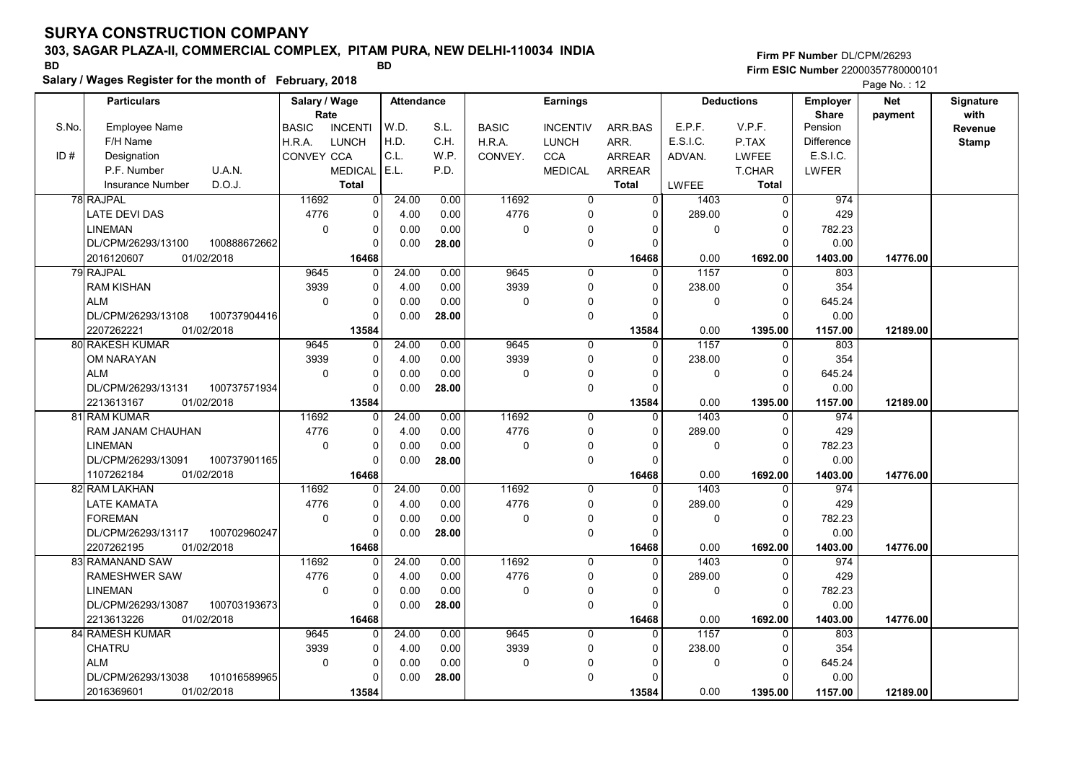# 303, SAGAR PLAZA-II, COMMERCIAL COMPLEX, PITAM PURA, NEW DELHI-110034 INDIA

Salary / Wages Register for the month of February, 2018

### Firm PF Number DL/CPM/26293 Firm ESIC Number <sup>22000357780000101</sup> BD BD

|       | <b>Particulars</b>                             | Salary / Wage<br>Rate |                            | <b>Attendance</b> |       |              | <b>Earnings</b>  |                      |          | <b>Deductions</b>          | Employer<br><b>Share</b> | <b>Net</b><br>payment | Signature<br>with |
|-------|------------------------------------------------|-----------------------|----------------------------|-------------------|-------|--------------|------------------|----------------------|----------|----------------------------|--------------------------|-----------------------|-------------------|
| S.No. | Employee Name                                  | <b>BASIC</b>          | <b>INCENTI</b>             | W.D.              | S.L.  | <b>BASIC</b> | <b>INCENTIV</b>  | ARR BAS              | E.P.F.   | V.P.F.                     | Pension                  |                       | Revenue           |
|       | F/H Name                                       | H.R.A.                | <b>LUNCH</b>               | H.D.              | C.H.  | H.R.A.       | <b>LUNCH</b>     | ARR.                 | E.S.I.C. | P.TAX                      | <b>Difference</b>        |                       | <b>Stamp</b>      |
| ID#   | Designation                                    | CONVEY CCA            |                            | C.L.              | W.P.  | CONVEY.      | <b>CCA</b>       | <b>ARREAR</b>        | ADVAN.   | <b>LWFEE</b>               | E.S.I.C.                 |                       |                   |
|       | U.A.N.<br>P.F. Number                          |                       | MEDICAL E.L.               |                   | P.D.  |              | <b>MEDICAL</b>   | <b>ARREAR</b>        |          | T.CHAR                     | LWFER                    |                       |                   |
|       | D.O.J.<br>Insurance Number                     |                       | <b>Total</b>               |                   |       |              |                  | Total                | LWFEE    | <b>Total</b>               |                          |                       |                   |
|       | 78 RAJPAL                                      | 11692                 | $\Omega$                   | 24.00             | 0.00  | 11692        | $\Omega$         | $\Omega$             | 1403     | $\Omega$                   | 974                      |                       |                   |
|       | <b>LATE DEVI DAS</b>                           | 4776                  | $\mathbf 0$                | 4.00              | 0.00  | 4776         | $\mathbf 0$      | $\Omega$             | 289.00   | $\Omega$                   | 429                      |                       |                   |
|       | <b>LINEMAN</b>                                 | $\mathbf 0$           | $\mathbf 0$                | 0.00              | 0.00  | 0            | $\mathbf 0$      | $\Omega$             | 0        | $\overline{0}$             | 782.23                   |                       |                   |
|       | DL/CPM/26293/13100<br>100888672662             |                       | $\Omega$                   | 0.00              | 28.00 |              | $\mathbf 0$      | $\Omega$             |          | $\Omega$                   | 0.00                     |                       |                   |
|       | 2016120607<br>01/02/2018                       |                       | 16468                      |                   |       |              |                  | 16468                | 0.00     | 1692.00                    | 1403.00                  | 14776.00              |                   |
|       | 79 RAJPAL                                      | 9645                  | $\Omega$                   | 24.00             | 0.00  | 9645         | $\mathbf 0$      | $\Omega$             | 1157     | $\Omega$                   | 803                      |                       |                   |
|       | <b>RAM KISHAN</b>                              | 3939                  | $\mathbf 0$                | 4.00              | 0.00  | 3939         | $\mathbf 0$      | $\Omega$             | 238.00   | $\mathbf 0$                | 354                      |                       |                   |
|       | ALM                                            | $\mathbf 0$           | $\mathbf 0$                | 0.00              | 0.00  | 0            | 0                | $\Omega$             | 0        | $\overline{0}$             | 645.24                   |                       |                   |
|       | DL/CPM/26293/13108<br>100737904416             |                       | $\Omega$                   | 0.00              | 28.00 |              | $\mathbf 0$      | $\Omega$             |          | $\Omega$                   | 0.00                     |                       |                   |
|       | 01/02/2018<br>2207262221                       |                       | 13584                      |                   |       |              |                  | 13584                | 0.00     | 1395.00                    | 1157.00                  | 12189.00              |                   |
|       | 80 RAKESH KUMAR                                | 9645                  | $\mathbf 0$                | 24.00             | 0.00  | 9645         | 0                | $\mathbf 0$          | 1157     | $\mathbf 0$                | 803                      |                       |                   |
|       | OM NARAYAN                                     | 3939                  | $\mathbf 0$                | 4.00              | 0.00  | 3939         | $\mathbf 0$      | $\Omega$             | 238.00   | $\Omega$                   | 354                      |                       |                   |
|       | <b>ALM</b>                                     | 0                     | $\mathbf 0$                | 0.00              | 0.00  | 0            | 0                | $\Omega$             | 0        | $\overline{0}$             | 645.24                   |                       |                   |
|       | DL/CPM/26293/13131<br>100737571934             |                       | $\Omega$                   | 0.00              | 28.00 |              | $\mathbf 0$      | $\Omega$             |          | $\Omega$                   | 0.00                     |                       |                   |
|       | 01/02/2018<br>2213613167                       |                       | 13584                      |                   |       |              |                  | 13584                | 0.00     | 1395.00                    | 1157.00                  | 12189.00              |                   |
|       | 81 RAM KUMAR                                   | 11692                 | $\Omega$                   | 24.00             | 0.00  | 11692        | $\mathbf 0$      | 0                    | 1403     | $\mathbf 0$                | 974                      |                       |                   |
|       | RAM JANAM CHAUHAN                              | 4776                  | $\mathbf 0$                | 4.00              | 0.00  | 4776         | 0                | $\Omega$             | 289.00   | $\mathbf 0$                | 429                      |                       |                   |
|       | <b>LINEMAN</b>                                 | $\Omega$              | $\Omega$                   | 0.00              | 0.00  | 0            | $\pmb{0}$        | $\Omega$             | 0        | $\Omega$                   | 782.23                   |                       |                   |
|       | DL/CPM/26293/13091<br>100737901165             |                       | $\Omega$                   | 0.00              | 28.00 |              | $\mathbf 0$      | $\Omega$             |          | $\Omega$                   | 0.00                     |                       |                   |
|       | 1107262184<br>01/02/2018                       |                       | 16468                      |                   |       |              |                  | 16468                | 0.00     | 1692.00                    | 1403.00                  | 14776.00              |                   |
|       | 82 RAM LAKHAN                                  | 11692                 | $\mathbf{0}$               | 24.00             | 0.00  | 11692        | $\mathbf 0$      | $\Omega$<br>$\Omega$ | 1403     | $\Omega$                   | 974                      |                       |                   |
|       | <b>LATE KAMATA</b>                             | 4776                  | $\mathbf 0$<br>$\mathbf 0$ | 4.00              | 0.00  | 4776         | $\mathbf 0$      |                      | 289.00   | $\Omega$                   | 429                      |                       |                   |
|       | <b>FOREMAN</b><br>100702960247                 | $\mathbf 0$           | $\mathbf 0$                | 0.00              | 0.00  | 0            | 0<br>$\mathbf 0$ | $\Omega$<br>$\Omega$ | 0        | $\overline{0}$<br>$\Omega$ | 782.23<br>0.00           |                       |                   |
|       | DL/CPM/26293/13117<br>2207262195<br>01/02/2018 |                       |                            | 0.00              | 28.00 |              |                  |                      | 0.00     |                            |                          | 14776.00              |                   |
|       | 83 RAMANAND SAW                                | 11692                 | 16468<br>$\Omega$          | 24.00             | 0.00  | 11692        | $\mathbf 0$      | 16468<br>0           | 1403     | 1692.00<br>$\Omega$        | 1403.00<br>974           |                       |                   |
|       | <b>RAMESHWER SAW</b>                           | 4776                  | $\Omega$                   | 4.00              | 0.00  | 4776         | $\mathbf 0$      | $\Omega$             | 289.00   | $\Omega$                   | 429                      |                       |                   |
|       | <b>LINEMAN</b>                                 | $\mathbf 0$           | $\mathbf 0$                | 0.00              | 0.00  | 0            | 0                | $\Omega$             | 0        | $\overline{0}$             | 782.23                   |                       |                   |
|       | 100703193673<br>DL/CPM/26293/13087             |                       | $\Omega$                   | 0.00              | 28.00 |              | $\mathbf 0$      | $\Omega$             |          | $\Omega$                   | 0.00                     |                       |                   |
|       | 2213613226<br>01/02/2018                       |                       | 16468                      |                   |       |              |                  | 16468                | 0.00     | 1692.00                    | 1403.00                  | 14776.00              |                   |
|       | 84 RAMESH KUMAR                                | 9645                  | $\Omega$                   | 24.00             | 0.00  | 9645         | $\mathbf{0}$     | $\Omega$             | 1157     | $\Omega$                   | 803                      |                       |                   |
|       | CHATRU                                         | 3939                  | $\mathbf 0$                | 4.00              | 0.00  | 3939         | $\mathbf 0$      | $\Omega$             | 238.00   | 0                          | 354                      |                       |                   |
|       | <b>ALM</b>                                     | 0                     | $\mathbf 0$                | 0.00              | 0.00  | 0            | $\Omega$         | $\Omega$             | 0        | $\overline{0}$             | 645.24                   |                       |                   |
|       | DL/CPM/26293/13038<br>101016589965             |                       | $\Omega$                   | 0.00              | 28.00 |              | $\mathbf 0$      | $\Omega$             |          | $\Omega$                   | 0.00                     |                       |                   |
|       | 2016369601<br>01/02/2018                       |                       | 13584                      |                   |       |              |                  | 13584                | 0.00     | 1395.00                    | 1157.00                  | 12189.00              |                   |
|       |                                                |                       |                            |                   |       |              |                  |                      |          |                            |                          |                       |                   |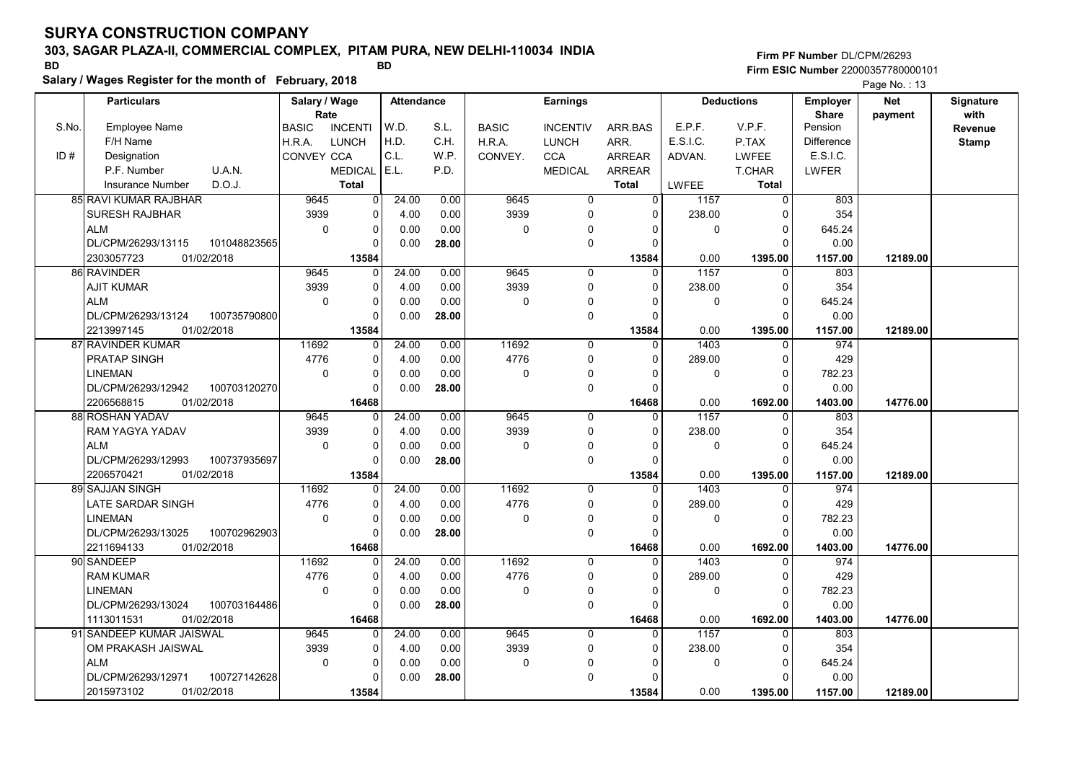# 303, SAGAR PLAZA-II, COMMERCIAL COMPLEX, PITAM PURA, NEW DELHI-110034 INDIA

Salary / Wages Register for the month of February, 2018

### Firm PF Number DL/CPM/26293 Firm ESIC Number <sup>22000357780000101</sup> BD BD

|       | <b>Particulars</b>                 | Salary / Wage     |                | <b>Attendance</b> |       | <b>Earnings</b> |                 |                | <b>Deductions</b> |              | <b>Employer</b>         | <b>Net</b> | Signature    |
|-------|------------------------------------|-------------------|----------------|-------------------|-------|-----------------|-----------------|----------------|-------------------|--------------|-------------------------|------------|--------------|
| S.No. | <b>Employee Name</b>               | Rate              |                | W.D.              | S.L.  |                 |                 |                | E.P.F.            | V.P.F.       | <b>Share</b><br>Pension | payment    | with         |
|       | F/H Name                           | <b>BASIC</b>      | <b>INCENTI</b> | H.D.              | C.H.  | <b>BASIC</b>    | <b>INCENTIV</b> | ARR.BAS        | E.S.I.C.          |              | <b>Difference</b>       |            | Revenue      |
|       |                                    | H.R.A.            | <b>LUNCH</b>   | C.L.              |       | H.R.A.          | <b>LUNCH</b>    | ARR.           |                   | P.TAX        |                         |            | <b>Stamp</b> |
| ID#   | Designation                        | <b>CONVEY CCA</b> |                | E.L.              | W.P.  | CONVEY.         | <b>CCA</b>      | <b>ARREAR</b>  | ADVAN.            | <b>LWFEE</b> | E.S.I.C.                |            |              |
|       | P.F. Number<br>U.A.N.              |                   | <b>MEDICAL</b> |                   | P.D.  |                 | <b>MEDICAL</b>  | ARREAR         |                   | T.CHAR       | LWFER                   |            |              |
|       | D.O.J.<br><b>Insurance Number</b>  |                   | <b>Total</b>   |                   |       |                 |                 | <b>Total</b>   | LWFEE             | Total        |                         |            |              |
|       | 85 RAVI KUMAR RAJBHAR              | 9645              | $\overline{0}$ | 24.00             | 0.00  | 9645            | 0               | $\overline{0}$ | 1157              | $\mathbf 0$  | 803                     |            |              |
|       | <b>SURESH RAJBHAR</b>              | 3939              | 0              | 4.00              | 0.00  | 3939            | $\mathbf 0$     | $\Omega$       | 238.00            | 0            | 354                     |            |              |
|       | <b>ALM</b>                         | $\mathbf 0$       | $\pmb{0}$      | 0.00              | 0.00  | $\mathbf 0$     | $\mathbf{0}$    | $\Omega$       | 0                 | $\Omega$     | 645.24                  |            |              |
|       | DL/CPM/26293/13115<br>101048823565 |                   | $\mathbf 0$    | 0.00              | 28.00 |                 | $\pmb{0}$       | $\Omega$       |                   | $\Omega$     | 0.00                    |            |              |
|       | 01/02/2018<br>2303057723           |                   | 13584          |                   |       |                 |                 | 13584          | 0.00              | 1395.00      | 1157.00                 | 12189.00   |              |
|       | 86 RAVINDER                        | 9645              | $\mathbf 0$    | 24.00             | 0.00  | 9645            | $\mathbf 0$     | $\Omega$       | 1157              | $\mathbf 0$  | 803                     |            |              |
|       | <b>AJIT KUMAR</b>                  | 3939              | 0              | 4.00              | 0.00  | 3939            | 0               | $\Omega$       | 238.00            | $\mathbf 0$  | 354                     |            |              |
|       | <b>ALM</b>                         | $\mathbf 0$       | $\mathbf 0$    | 0.00              | 0.00  | $\mathbf 0$     | 0               | $\Omega$       | 0                 | $\Omega$     | 645.24                  |            |              |
|       | DL/CPM/26293/13124<br>100735790800 |                   | $\Omega$       | 0.00              | 28.00 |                 | $\mathbf 0$     | $\Omega$       |                   | $\Omega$     | 0.00                    |            |              |
|       | 2213997145<br>01/02/2018           |                   | 13584          |                   |       |                 |                 | 13584          | 0.00              | 1395.00      | 1157.00                 | 12189.00   |              |
|       | 87 RAVINDER KUMAR                  | 11692             | $\mathbf 0$    | 24.00             | 0.00  | 11692           | $\mathbf 0$     | 0              | 1403              | $\mathbf 0$  | 974                     |            |              |
|       | <b>PRATAP SINGH</b>                | 4776              | $\mathbf 0$    | 4.00              | 0.00  | 4776            | $\mathbf 0$     | $\Omega$       | 289.00            | $\mathbf 0$  | 429                     |            |              |
|       | <b>LINEMAN</b>                     | $\Omega$          | $\pmb{0}$      | 0.00              | 0.00  | 0               | $\Omega$        | $\Omega$       | 0                 | $\mathbf 0$  | 782.23                  |            |              |
|       | DL/CPM/26293/12942<br>100703120270 |                   | $\mathbf 0$    | 0.00              | 28.00 |                 | $\mathbf 0$     | $\Omega$       |                   | $\Omega$     | 0.00                    |            |              |
|       | 2206568815<br>01/02/2018           |                   | 16468          |                   |       |                 |                 | 16468          | 0.00              | 1692.00      | 1403.00                 | 14776.00   |              |
|       | 88 ROSHAN YADAV                    | 9645              | 0              | 24.00             | 0.00  | 9645            | $\mathbf 0$     | $\Omega$       | 1157              | 0            | 803                     |            |              |
|       | RAM YAGYA YADAV                    | 3939              | $\pmb{0}$      | 4.00              | 0.00  | 3939            | $\mathbf 0$     | $\Omega$       | 238.00            | $\mathbf 0$  | 354                     |            |              |
|       | <b>ALM</b>                         | $\Omega$          | $\mathbf 0$    | 0.00              | 0.00  | $\mathbf 0$     | 0               | $\Omega$       | 0                 | $\Omega$     | 645.24                  |            |              |
|       | 100737935697<br>DL/CPM/26293/12993 |                   | $\mathbf 0$    | 0.00              | 28.00 |                 | $\mathbf 0$     | $\Omega$       |                   | $\Omega$     | 0.00                    |            |              |
|       | 01/02/2018<br>2206570421           |                   | 13584          |                   |       |                 |                 | 13584          | 0.00              | 1395.00      | 1157.00                 | 12189.00   |              |
|       | 89 SAJJAN SINGH                    | 11692             | 0              | 24.00             | 0.00  | 11692           | $\mathbf 0$     | 0              | 1403              | $\mathbf 0$  | 974                     |            |              |
|       | LATE SARDAR SINGH                  | 4776              | $\mathbf 0$    | 4.00              | 0.00  | 4776            | $\mathbf 0$     | $\Omega$       | 289.00            | $\mathbf 0$  | 429                     |            |              |
|       | <b>LINEMAN</b>                     | $\mathbf 0$       | $\mathbf 0$    | 0.00              | 0.00  | 0               | $\mathbf{0}$    | $\Omega$       | 0                 | $\mathbf 0$  | 782.23                  |            |              |
|       | DL/CPM/26293/13025<br>100702962903 |                   | $\mathbf 0$    | 0.00              | 28.00 |                 | $\pmb{0}$       | $\Omega$       |                   | $\Omega$     | 0.00                    |            |              |
|       | 2211694133<br>01/02/2018           |                   | 16468          |                   |       |                 |                 | 16468          | 0.00              | 1692.00      | 1403.00                 | 14776.00   |              |
|       | 90 SANDEEP                         | 11692             | $\Omega$       | 24.00             | 0.00  | 11692           | $\Omega$        | $\Omega$       | 1403              | $\Omega$     | 974                     |            |              |
|       | <b>RAM KUMAR</b>                   | 4776              | 0              | 4.00              | 0.00  | 4776            | $\mathbf 0$     | $\Omega$       | 289.00            | $\mathbf 0$  | 429                     |            |              |
|       | <b>LINEMAN</b>                     | $\mathbf 0$       | 0              | 0.00              | 0.00  | $\mathbf 0$     | $\Omega$        | $\Omega$       | 0                 | $\mathbf 0$  | 782.23                  |            |              |
|       | DL/CPM/26293/13024<br>100703164486 |                   | $\mathbf 0$    | 0.00              | 28.00 |                 | $\mathbf 0$     | 0              |                   | $\Omega$     | 0.00                    |            |              |
|       | 01/02/2018<br>1113011531           |                   | 16468          |                   |       |                 |                 | 16468          | 0.00              | 1692.00      | 1403.00                 | 14776.00   |              |
|       | 91 SANDEEP KUMAR JAISWAL           | 9645              | 0              | 24.00             | 0.00  | 9645            | $\mathbf 0$     | $\Omega$       | 1157              | $\mathbf 0$  | 803                     |            |              |
|       | OM PRAKASH JAISWAL                 | 3939              | $\pmb{0}$      | 4.00              | 0.00  | 3939            | $\mathbf 0$     | $\Omega$       | 238.00            | $\mathbf 0$  | 354                     |            |              |
|       | <b>ALM</b>                         | $\mathbf 0$       | $\pmb{0}$      | 0.00              | 0.00  | 0               | $\mathbf 0$     | O              | 0                 | $\Omega$     | 645.24                  |            |              |
|       | DL/CPM/26293/12971<br>100727142628 |                   | $\Omega$       | 0.00              | 28.00 |                 | $\mathbf 0$     |                |                   | $\Omega$     | 0.00                    |            |              |
|       | 2015973102<br>01/02/2018           |                   | 13584          |                   |       |                 |                 | 13584          | 0.00              | 1395.00      | 1157.00                 | 12189.00   |              |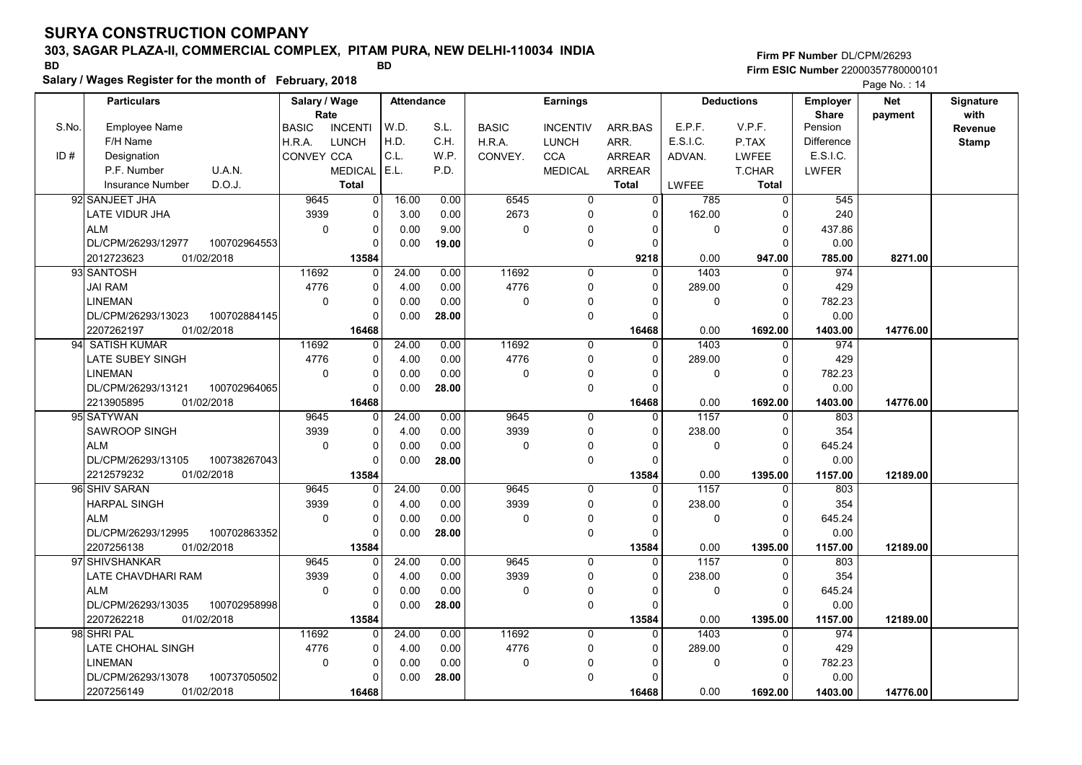# 303, SAGAR PLAZA-II, COMMERCIAL COMPLEX, PITAM PURA, NEW DELHI-110034 INDIA

Salary / Wages Register for the month of February, 2018

### Firm PF Number DL/CPM/26293 Firm ESIC Number <sup>22000357780000101</sup> BD BD

|       | <b>Particulars</b>                |              | Salary / Wage<br>Rate |                |       |       |              | <b>Attendance</b> | <b>Earnings</b> |              |                |                   | <b>Deductions</b> | Employer<br><b>Share</b> | Net<br>payment | Signature<br>with |
|-------|-----------------------------------|--------------|-----------------------|----------------|-------|-------|--------------|-------------------|-----------------|--------------|----------------|-------------------|-------------------|--------------------------|----------------|-------------------|
| S.No. | <b>Employee Name</b>              | <b>BASIC</b> |                       | <b>INCENTI</b> | W.D.  | S.L.  | <b>BASIC</b> | <b>INCENTIV</b>   | ARR.BAS         | E.P.F.       | V.P.F.         | Pension           |                   | Revenue                  |                |                   |
|       | F/H Name                          | H.R.A.       |                       | <b>LUNCH</b>   | H.D.  | C.H.  | H.R.A.       | <b>LUNCH</b>      | ARR.            | E.S.I.C.     | P.TAX          | <b>Difference</b> |                   | <b>Stamp</b>             |                |                   |
| ID#   | Designation                       |              | <b>CONVEY CCA</b>     |                | C.L.  | W.P.  | CONVEY.      | <b>CCA</b>        | <b>ARREAR</b>   | ADVAN.       | <b>LWFEE</b>   | E.S.I.C.          |                   |                          |                |                   |
|       | P.F. Number<br>U.A.N.             |              |                       | <b>MEDICAL</b> | E.L.  | P.D.  |              | <b>MEDICAL</b>    | ARREAR          |              | T.CHAR         | LWFER             |                   |                          |                |                   |
|       | D.O.J.<br><b>Insurance Number</b> |              |                       | <b>Total</b>   |       |       |              |                   | <b>Total</b>    | <b>LWFEE</b> | <b>Total</b>   |                   |                   |                          |                |                   |
|       | 92 SANJEET JHA                    |              | 9645                  | $\overline{0}$ | 16.00 | 0.00  | 6545         | $\overline{0}$    | $\overline{0}$  | 785          | $\overline{0}$ | 545               |                   |                          |                |                   |
|       | LATE VIDUR JHA                    |              | 3939                  | $\overline{0}$ | 3.00  | 0.00  | 2673         | 0                 | 0               | 162.00       | O              | 240               |                   |                          |                |                   |
|       | <b>ALM</b>                        |              | $\mathbf 0$           | $\overline{0}$ | 0.00  | 9.00  | 0            | 0                 | <sup>0</sup>    | $\pmb{0}$    | $\Omega$       | 437.86            |                   |                          |                |                   |
|       | DL/CPM/26293/12977                | 100702964553 |                       | $\Omega$       | 0.00  | 19.00 |              | $\pmb{0}$         | 0               |              | O              | 0.00              |                   |                          |                |                   |
|       | 01/02/2018<br>2012723623          |              |                       | 13584          |       |       |              |                   | 9218            | 0.00         | 947.00         | 785.00            | 8271.00           |                          |                |                   |
|       | 93 SANTOSH                        |              | 11692                 | $\Omega$       | 24.00 | 0.00  | 11692        | $\mathbf 0$       | $\Omega$        | 1403         | $\Omega$       | 974               |                   |                          |                |                   |
|       | <b>JAI RAM</b>                    |              | 4776                  | $\Omega$       | 4.00  | 0.00  | 4776         | 0                 | $\Omega$        | 289.00       | 0              | 429               |                   |                          |                |                   |
|       | <b>LINEMAN</b>                    |              | $\mathbf 0$           | $\mathbf 0$    | 0.00  | 0.00  | 0            | $\pmb{0}$         | 0               | $\pmb{0}$    | 0              | 782.23            |                   |                          |                |                   |
|       | DL/CPM/26293/13023                | 100702884145 |                       | $\Omega$       | 0.00  | 28.00 |              | $\mathbf 0$       | $\Omega$        |              | $\Omega$       | 0.00              |                   |                          |                |                   |
|       | 01/02/2018<br>2207262197          |              |                       | 16468          |       |       |              |                   | 16468           | 0.00         | 1692.00        | 1403.00           | 14776.00          |                          |                |                   |
|       | 94 SATISH KUMAR                   |              | 11692                 | $\Omega$       | 24.00 | 0.00  | 11692        | $\mathbf 0$       | $\Omega$        | 1403         | $\Omega$       | 974               |                   |                          |                |                   |
|       | LATE SUBEY SINGH                  |              | 4776                  | $\mathbf 0$    | 4.00  | 0.00  | 4776         | $\mathbf 0$       | 0               | 289.00       | 0              | 429               |                   |                          |                |                   |
|       | <b>LINEMAN</b>                    |              | $\mathbf 0$           | $\Omega$       | 0.00  | 0.00  | 0            | 0                 | $\Omega$        | $\mathbf 0$  | $\Omega$       | 782.23            |                   |                          |                |                   |
|       | DL/CPM/26293/13121                | 100702964065 |                       | $\Omega$       | 0.00  | 28.00 |              | $\mathbf 0$       | $\Omega$        |              | $\Omega$       | 0.00              |                   |                          |                |                   |
|       | 2213905895<br>01/02/2018          |              |                       | 16468          |       |       |              |                   | 16468           | 0.00         | 1692.00        | 1403.00           | 14776.00          |                          |                |                   |
|       | 95 SATYWAN                        |              | 9645                  | $\Omega$       | 24.00 | 0.00  | 9645         | $\mathbf 0$       | 0               | 1157         | O              | 803               |                   |                          |                |                   |
|       | SAWROOP SINGH                     |              | 3939                  | $\Omega$       | 4.00  | 0.00  | 3939         | $\pmb{0}$         | $\Omega$        | 238.00       | $\Omega$       | 354               |                   |                          |                |                   |
|       | <b>ALM</b>                        |              | 0                     | $\Omega$       | 0.00  | 0.00  | 0            | $\pmb{0}$         |                 | $\mathbf 0$  | $\Omega$       | 645.24            |                   |                          |                |                   |
|       | DL/CPM/26293/13105                | 100738267043 |                       | $\Omega$       | 0.00  | 28.00 |              | $\mathbf 0$       | $\Omega$        |              | O              | 0.00              |                   |                          |                |                   |
|       | 01/02/2018<br>2212579232          |              |                       | 13584          |       |       |              |                   | 13584           | 0.00         | 1395.00        | 1157.00           | 12189.00          |                          |                |                   |
|       | 96 SHIV SARAN                     |              | 9645                  | $\Omega$       | 24.00 | 0.00  | 9645         | $\mathbf 0$       | $\Omega$        | 1157         | $\Omega$       | 803               |                   |                          |                |                   |
|       | <b>HARPAL SINGH</b>               |              | 3939                  | $\Omega$       | 4.00  | 0.00  | 3939         | $\Omega$          | $\Omega$        | 238.00       | $\Omega$       | 354               |                   |                          |                |                   |
|       | <b>ALM</b>                        |              | 0                     | $\mathbf 0$    | 0.00  | 0.00  | 0            | 0                 | $\Omega$        | 0            | 0              | 645.24            |                   |                          |                |                   |
|       | DL/CPM/26293/12995                | 100702863352 |                       | $\Omega$       | 0.00  | 28.00 |              | $\mathbf 0$       | $\Omega$        |              | $\Omega$       | 0.00              |                   |                          |                |                   |
|       | 2207256138<br>01/02/2018          |              |                       | 13584          |       |       |              |                   | 13584           | 0.00         | 1395.00        | 1157.00           | 12189.00          |                          |                |                   |
|       | 97 SHIVSHANKAR                    |              | 9645                  |                | 24.00 | 0.00  | 9645         | $\Omega$          | $\Omega$        | 1157         | $\Omega$       | 803               |                   |                          |                |                   |
|       | LATE CHAVDHARI RAM                |              | 3939                  | $\mathbf 0$    | 4.00  | 0.00  | 3939         | $\mathbf 0$       | $\Omega$        | 238.00       | $\Omega$       | 354               |                   |                          |                |                   |
|       | <b>ALM</b>                        |              | $\mathbf 0$           | $\Omega$       | 0.00  | 0.00  | 0            | $\mathbf 0$       | $\Omega$        | $\Omega$     | $\Omega$       | 645.24            |                   |                          |                |                   |
|       | DL/CPM/26293/13035                | 100702958998 |                       | $\Omega$       | 0.00  | 28.00 |              | $\mathbf 0$       | $\Omega$        |              | $\Omega$       | 0.00              |                   |                          |                |                   |
|       | 2207262218<br>01/02/2018          |              |                       | 13584          |       |       |              |                   | 13584           | 0.00         | 1395.00        | 1157.00           | 12189.00          |                          |                |                   |
|       | 98 SHRI PAL                       |              | 11692                 | $\mathbf{0}$   | 24.00 | 0.00  | 11692        | $\mathbf 0$       | $\Omega$        | 1403         | 0              | 974               |                   |                          |                |                   |
|       | LATE CHOHAL SINGH                 |              | 4776                  | $\Omega$       | 4.00  | 0.00  | 4776         | $\pmb{0}$         | $\Omega$        | 289.00       | 0              | 429               |                   |                          |                |                   |
|       | <b>LINEMAN</b>                    |              | 0                     | $\Omega$       | 0.00  | 0.00  | 0            | 0                 | $\Omega$        | $\mathbf 0$  | $\Omega$       | 782.23            |                   |                          |                |                   |
|       | DL/CPM/26293/13078                | 100737050502 |                       | $\Omega$       | 0.00  | 28.00 |              | $\mathbf 0$       | $\Omega$        |              | $\Omega$       | 0.00              |                   |                          |                |                   |
|       | 2207256149<br>01/02/2018          |              |                       | 16468          |       |       |              |                   | 16468           | 0.00         | 1692.00        | 1403.00           | 14776.00          |                          |                |                   |
|       |                                   |              |                       |                |       |       |              |                   |                 |              |                |                   |                   |                          |                |                   |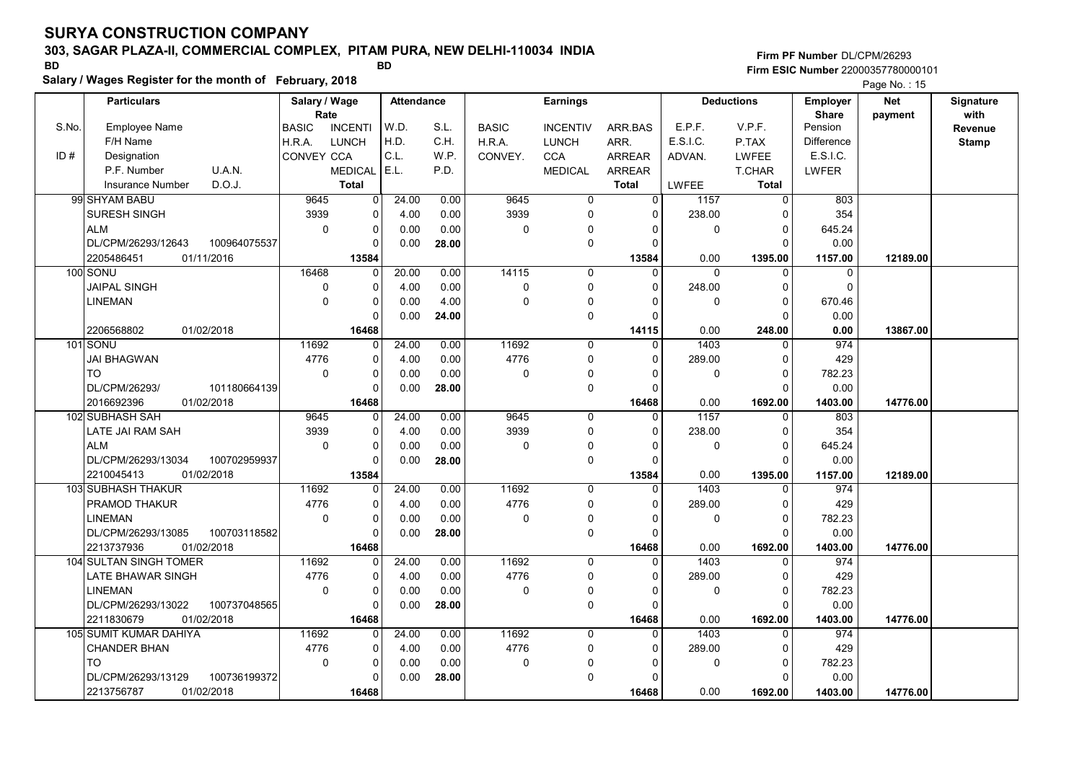# 303, SAGAR PLAZA-II, COMMERCIAL COMPLEX, PITAM PURA, NEW DELHI-110034 INDIA

Salary / Wages Register for the month of February, 2018

### Firm PF Number DL/CPM/26293 Firm ESIC Number <sup>22000357780000101</sup> BD BD

|       | <b>Particulars</b>                 |              | Salary / Wage<br>Rate |       | Attendance | <b>Earnings</b> |                 |               | <b>Deductions</b> |                | Employer                | <b>Net</b> | Signature<br>with |
|-------|------------------------------------|--------------|-----------------------|-------|------------|-----------------|-----------------|---------------|-------------------|----------------|-------------------------|------------|-------------------|
| S.No. | <b>Employee Name</b>               | <b>BASIC</b> | <b>INCENTI</b>        | W.D.  | S.L.       | <b>BASIC</b>    | <b>INCENTIV</b> | ARR.BAS       | E.P.F.            | V.P.F.         | <b>Share</b><br>Pension | payment    | Revenue           |
|       | F/H Name                           | H.R.A.       | <b>LUNCH</b>          | H.D.  | C.H.       | H.R.A.          | <b>LUNCH</b>    | ARR.          | E.S.I.C.          | P.TAX          | <b>Difference</b>       |            | <b>Stamp</b>      |
| ID#   | Designation                        | CONVEY CCA   |                       | C.L.  | W.P.       | CONVEY.         | <b>CCA</b>      | <b>ARREAR</b> | ADVAN.            | LWFEE          | E.S.I.C.                |            |                   |
|       | P.F. Number<br>U.A.N.              |              | <b>MEDICAL</b>        | E.L.  | P.D.       |                 | <b>MEDICAL</b>  | <b>ARREAR</b> |                   | T.CHAR         | LWFER                   |            |                   |
|       | D.O.J.<br><b>Insurance Number</b>  |              | <b>Total</b>          |       |            |                 |                 | Total         | LWFEE             | <b>Total</b>   |                         |            |                   |
|       | 99 SHYAM BABU                      | 9645         | $\overline{0}$        | 24.00 | 0.00       | 9645            | 0               | $\mathbf 0$   | 1157              | $\overline{0}$ | 803                     |            |                   |
|       | SURESH SINGH                       | 3939         | $\mathbf 0$           | 4.00  | 0.00       | 3939            | 0               | $\mathbf 0$   | 238.00            | $\Omega$       | 354                     |            |                   |
|       | <b>ALM</b>                         | $\mathbf 0$  | $\mathbf 0$           | 0.00  | 0.00       | 0               | 0               | $\Omega$      | $\mathbf{0}$      | $\Omega$       | 645.24                  |            |                   |
|       | DL/CPM/26293/12643<br>100964075537 |              | $\Omega$              | 0.00  | 28.00      |                 | 0               | $\Omega$      |                   | $\Omega$       | 0.00                    |            |                   |
|       | 2205486451<br>01/11/2016           |              | 13584                 |       |            |                 |                 | 13584         | 0.00              | 1395.00        | 1157.00                 | 12189.00   |                   |
|       | 100 SONU                           | 16468        | $\mathbf 0$           | 20.00 | 0.00       | 14115           | $\mathbf 0$     | $\Omega$      | $\Omega$          | $\Omega$       | $\mathbf 0$             |            |                   |
|       | <b>JAIPAL SINGH</b>                | 0            | $\Omega$              | 4.00  | 0.00       | 0               | 0               | $\Omega$      | 248.00            | 0              | $\Omega$                |            |                   |
|       | LINEMAN                            | $\Omega$     | $\Omega$              | 0.00  | 4.00       | 0               | 0               | $\Omega$      | $\mathbf{0}$      | $\Omega$       | 670.46                  |            |                   |
|       |                                    |              | $\Omega$              | 0.00  | 24.00      |                 | 0               | $\Omega$      |                   | $\Omega$       | 0.00                    |            |                   |
|       | 01/02/2018<br>2206568802           |              | 16468                 |       |            |                 |                 | 14115         | 0.00              | 248.00         | 0.00                    | 13867.00   |                   |
|       | 101 SONU                           | 11692        | $\Omega$              | 24.00 | 0.00       | 11692           | $\mathbf 0$     | $\Omega$      | 1403              | $\Omega$       | 974                     |            |                   |
|       | <b>JAI BHAGWAN</b>                 | 4776         | $\mathbf 0$           | 4.00  | 0.00       | 4776            | 0               | $\Omega$      | 289.00            | $\Omega$       | 429                     |            |                   |
|       | <b>TO</b>                          | 0            | $\overline{0}$        | 0.00  | 0.00       | $\pmb{0}$       | 0               | $\Omega$      | $\mathbf 0$       | $\mathbf 0$    | 782.23                  |            |                   |
|       | 101180664139<br>DL/CPM/26293/      |              | $\Omega$              | 0.00  | 28.00      |                 | 0               | $\Omega$      |                   | $\Omega$       | 0.00                    |            |                   |
|       | 2016692396<br>01/02/2018           |              | 16468                 |       |            |                 |                 | 16468         | 0.00              | 1692.00        | 1403.00                 | 14776.00   |                   |
|       | 102 SUBHASH SAH                    | 9645         | $\Omega$              | 24.00 | 0.00       | 9645            | 0               | $\mathbf 0$   | 1157              | $\Omega$       | 803                     |            |                   |
|       | LATE JAI RAM SAH                   | 3939         | $\mathbf 0$           | 4.00  | 0.00       | 3939            | 0               | $\mathbf 0$   | 238.00            | 0              | 354                     |            |                   |
|       | <b>ALM</b>                         | $\Omega$     | $\mathbf 0$           | 0.00  | 0.00       | $\mathbf 0$     | 0               | $\Omega$      | $\mathbf{0}$      | $\Omega$       | 645.24                  |            |                   |
|       | 100702959937<br>DL/CPM/26293/13034 |              | $\Omega$              | 0.00  | 28.00      |                 | 0               | $\Omega$      |                   | $\Omega$       | 0.00                    |            |                   |
|       | 01/02/2018<br>2210045413           |              | 13584                 |       |            |                 |                 | 13584         | 0.00              | 1395.00        | 1157.00                 | 12189.00   |                   |
|       | <b>103 SUBHASH THAKUR</b>          | 11692        | 0                     | 24.00 | 0.00       | 11692           | $\mathbf 0$     | $\mathbf 0$   | 1403              | $\Omega$       | 974                     |            |                   |
|       | PRAMOD THAKUR                      | 4776         | $\Omega$              | 4.00  | 0.00       | 4776            | 0               | $\Omega$      | 289.00            | $\Omega$       | 429                     |            |                   |
|       | <b>LINEMAN</b>                     | $\mathbf 0$  | $\pmb{0}$             | 0.00  | 0.00       | 0               | 0               | $\Omega$      | $\mathbf 0$       | $\mathbf 0$    | 782.23                  |            |                   |
|       | DL/CPM/26293/13085<br>100703118582 |              | $\Omega$              | 0.00  | 28.00      |                 | 0               | $\Omega$      |                   | $\Omega$       | 0.00                    |            |                   |
|       | 01/02/2018<br>2213737936           |              | 16468                 |       |            |                 |                 | 16468         | 0.00              | 1692.00        | 1403.00                 | 14776.00   |                   |
|       | 104 SULTAN SINGH TOMER             | 11692        | $\Omega$              | 24.00 | 0.00       | 11692           | $\Omega$        | $\Omega$      | 1403              | $\Omega$       | 974                     |            |                   |
|       | LATE BHAWAR SINGH                  | 4776         | $\mathbf 0$           | 4.00  | 0.00       | 4776            | 0               | $\Omega$      | 289.00            | $\Omega$       | 429                     |            |                   |
|       | <b>LINEMAN</b>                     | $\mathbf 0$  | $\mathbf 0$           | 0.00  | 0.00       | 0               | 0               | $\Omega$      | $\mathbf{0}$      | $\mathbf 0$    | 782.23                  |            |                   |
|       | DL/CPM/26293/13022<br>100737048565 |              | $\Omega$              | 0.00  | 28.00      |                 | 0               | $\Omega$      |                   | $\Omega$       | 0.00                    |            |                   |
|       | 2211830679<br>01/02/2018           |              | 16468                 |       |            |                 |                 | 16468         | 0.00              | 1692.00        | 1403.00                 | 14776.00   |                   |
|       | 105 SUMIT KUMAR DAHIYA             | 11692        | $\Omega$              | 24.00 | 0.00       | 11692           | $\mathbf 0$     | $\Omega$      | 1403              | $\mathbf{0}$   | 974                     |            |                   |
|       | <b>CHANDER BHAN</b>                | 4776         | $\mathbf 0$           | 4.00  | 0.00       | 4776            | 0               | $\mathbf 0$   | 289.00            | 0              | 429                     |            |                   |
|       | <b>TO</b>                          | $\mathbf 0$  | $\mathbf 0$           | 0.00  | 0.00       | 0               | 0               | $\Omega$      | $\mathbf 0$       | 0              | 782.23                  |            |                   |
|       | DL/CPM/26293/13129<br>100736199372 |              | $\Omega$              | 0.00  | 28.00      |                 | 0               | $\Omega$      |                   | $\Omega$       | 0.00                    |            |                   |
|       | 2213756787<br>01/02/2018           |              | 16468                 |       |            |                 |                 | 16468         | 0.00              | 1692.00        | 1403.00                 | 14776.00   |                   |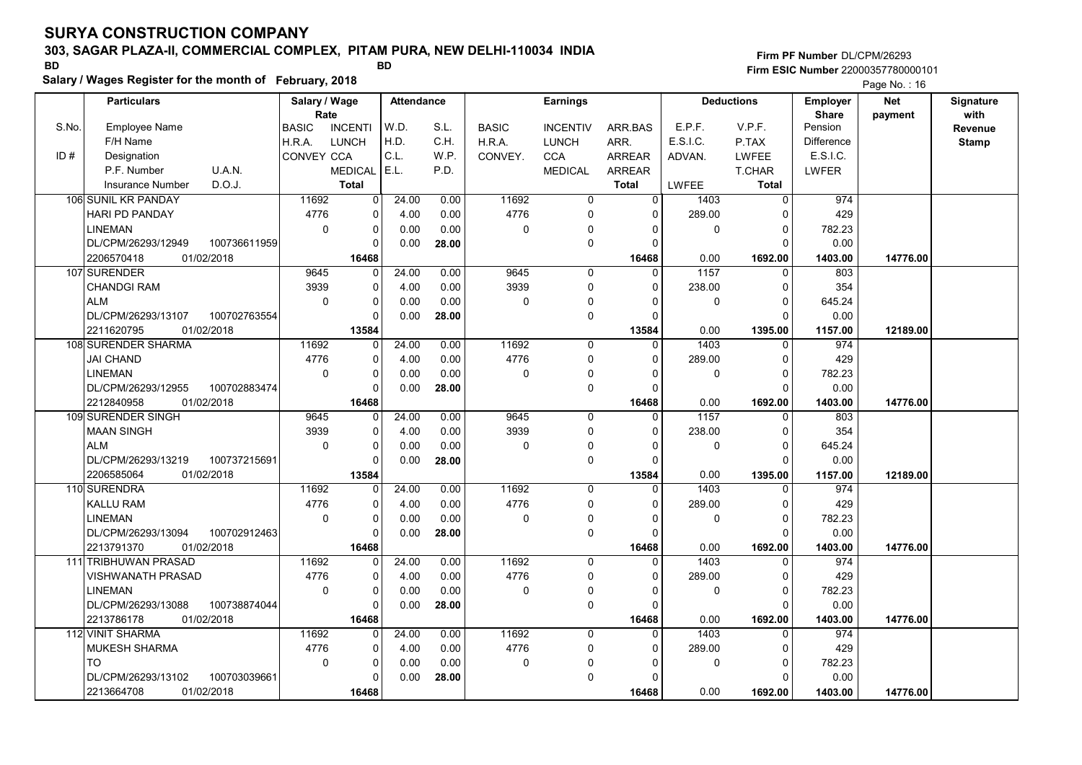# 303, SAGAR PLAZA-II, COMMERCIAL COMPLEX, PITAM PURA, NEW DELHI-110034 INDIA

Salary / Wages Register for the month of February, 2018

### Firm PF Number DL/CPM/26293 Firm ESIC Number <sup>22000357780000101</sup> BD BD

|       | <b>Particulars</b>       |              | Salary / Wage |                | <b>Attendance</b><br>Rate |       | <b>Earnings</b> |                 |                |              | <b>Deductions</b> | <b>Employer</b>         | <b>Net</b> | Signature       |
|-------|--------------------------|--------------|---------------|----------------|---------------------------|-------|-----------------|-----------------|----------------|--------------|-------------------|-------------------------|------------|-----------------|
| S.No. | <b>Employee Name</b>     |              | <b>BASIC</b>  | <b>INCENTI</b> | W.D.                      | S.L.  | <b>BASIC</b>    | <b>INCENTIV</b> | ARR.BAS        | E.P.F.       | V.P.F.            | <b>Share</b><br>Pension | payment    | with<br>Revenue |
|       | F/H Name                 |              | H.R.A.        | <b>LUNCH</b>   | H.D.                      | C.H.  | H.R.A.          | <b>LUNCH</b>    | ARR.           | E.S.I.C.     | P.TAX             | <b>Difference</b>       |            | <b>Stamp</b>    |
| ID#   | Designation              |              | CONVEY CCA    |                | C.L.                      | W.P.  | CONVEY.         | <b>CCA</b>      | <b>ARREAR</b>  | ADVAN.       | <b>LWFEE</b>      | E.S.I.C.                |            |                 |
|       | P.F. Number              | U.A.N.       |               | <b>MEDICAL</b> | E.L.                      | P.D.  |                 | <b>MEDICAL</b>  | <b>ARREAR</b>  |              | <b>T.CHAR</b>     | LWFER                   |            |                 |
|       | <b>Insurance Number</b>  | D.O.J.       |               | <b>Total</b>   |                           |       |                 |                 | <b>Total</b>   | <b>LWFEE</b> | <b>Total</b>      |                         |            |                 |
|       | 106 SUNIL KR PANDAY      |              | 11692         | 0              | 24.00                     | 0.00  | 11692           | $\mathbf 0$     | $\overline{0}$ | 1403         | $\overline{0}$    | 974                     |            |                 |
|       | HARI PD PANDAY           |              | 4776          | 0              | 4.00                      | 0.00  | 4776            | $\Omega$        | $\Omega$       | 289.00       | $\Omega$          | 429                     |            |                 |
|       | <b>LINEMAN</b>           |              | $\mathbf 0$   | 0              | 0.00                      | 0.00  | 0               | 0               | $\Omega$       | 0            | $\Omega$          | 782.23                  |            |                 |
|       | DL/CPM/26293/12949       | 100736611959 |               | $\Omega$       | 0.00                      | 28.00 |                 | $\mathbf 0$     | $\Omega$       |              | $\Omega$          | 0.00                    |            |                 |
|       | 2206570418               | 01/02/2018   |               | 16468          |                           |       |                 |                 | 16468          | 0.00         | 1692.00           | 1403.00                 | 14776.00   |                 |
|       | 107 SURENDER             |              | 9645          | 0              | 24.00                     | 0.00  | 9645            | $\mathbf 0$     | $\mathbf 0$    | 1157         | $\mathbf 0$       | 803                     |            |                 |
|       | <b>CHANDGI RAM</b>       |              | 3939          | 0              | 4.00                      | 0.00  | 3939            | $\mathbf 0$     | $\Omega$       | 238.00       | $\Omega$          | 354                     |            |                 |
|       | <b>ALM</b>               |              | $\Omega$      | 0              | 0.00                      | 0.00  | 0               | 0               | $\Omega$       | 0            | $\Omega$          | 645.24                  |            |                 |
|       | DL/CPM/26293/13107       | 100702763554 |               | 0              | 0.00                      | 28.00 |                 | $\mathbf 0$     | $\Omega$       |              | $\Omega$          | 0.00                    |            |                 |
|       | 2211620795               | 01/02/2018   |               | 13584          |                           |       |                 |                 | 13584          | 0.00         | 1395.00           | 1157.00                 | 12189.00   |                 |
|       | 108 SURENDER SHARMA      |              | 11692         | 0              | 24.00                     | 0.00  | 11692           | $\mathbf 0$     | $\Omega$       | 1403         | $\Omega$          | 974                     |            |                 |
|       | <b>JAI CHAND</b>         |              | 4776          | 0              | 4.00                      | 0.00  | 4776            | $\mathbf 0$     | $\Omega$       | 289.00       | $\Omega$          | 429                     |            |                 |
|       | <b>LINEMAN</b>           |              | $\mathbf 0$   | 0              | 0.00                      | 0.00  | 0               | 0               | $\Omega$       | 0            | $\Omega$          | 782.23                  |            |                 |
|       | DL/CPM/26293/12955       | 100702883474 |               | 0              | 0.00                      | 28.00 |                 | $\mathbf 0$     | $\Omega$       |              | $\Omega$          | 0.00                    |            |                 |
|       | 2212840958               | 01/02/2018   |               | 16468          |                           |       |                 |                 | 16468          | 0.00         | 1692.00           | 1403.00                 | 14776.00   |                 |
|       | 109 SURENDER SINGH       |              | 9645          | 0              | 24.00                     | 0.00  | 9645            | $\mathbf 0$     | $\Omega$       | 1157         | $\mathbf{0}$      | 803                     |            |                 |
|       | <b>MAAN SINGH</b>        |              | 3939          | 0              | 4.00                      | 0.00  | 3939            | $\Omega$        | $\Omega$       | 238.00       | $\Omega$          | 354                     |            |                 |
|       | <b>ALM</b>               |              | $\mathbf 0$   | 0              | 0.00                      | 0.00  | 0               | $\mathbf 0$     | $\Omega$       | $\mathbf 0$  | $\Omega$          | 645.24                  |            |                 |
|       | DL/CPM/26293/13219       | 100737215691 |               | $\Omega$       | 0.00                      | 28.00 |                 | $\mathbf 0$     | $\Omega$       |              | $\Omega$          | 0.00                    |            |                 |
|       | 2206585064               | 01/02/2018   |               | 13584          |                           |       |                 |                 | 13584          | 0.00         | 1395.00           | 1157.00                 | 12189.00   |                 |
|       | 110 SURENDRA             |              | 11692         | <sup>0</sup>   | 24.00                     | 0.00  | 11692           | $\Omega$        | $\Omega$       | 1403         | $\Omega$          | 974                     |            |                 |
|       | <b>KALLU RAM</b>         |              | 4776          | 0              | 4.00                      | 0.00  | 4776            | $\mathbf 0$     | $\Omega$       | 289.00       | $\Omega$          | 429                     |            |                 |
|       | <b>LINEMAN</b>           |              | $\mathbf 0$   | 0              | 0.00                      | 0.00  | $\Omega$        | $\Omega$        | $\mathbf{0}$   | $\mathbf 0$  | $\mathbf 0$       | 782.23                  |            |                 |
|       | DL/CPM/26293/13094       | 100702912463 |               | $\Omega$       | 0.00                      | 28.00 |                 | $\mathbf 0$     | $\Omega$       |              | $\Omega$          | 0.00                    |            |                 |
|       | 2213791370               | 01/02/2018   |               | 16468          |                           |       |                 |                 | 16468          | 0.00         | 1692.00           | 1403.00                 | 14776.00   |                 |
|       | 111 TRIBHUWAN PRASAD     |              | 11692         | $\Omega$       | 24.00                     | 0.00  | 11692           | 0               | $\Omega$       | 1403         | $\Omega$          | 974                     |            |                 |
|       | <b>VISHWANATH PRASAD</b> |              | 4776          | 0              | 4.00                      | 0.00  | 4776            | 0               | $\mathbf 0$    | 289.00       | $\mathbf 0$       | 429                     |            |                 |
|       | <b>LINEMAN</b>           |              | $\mathbf 0$   | 0              | 0.00                      | 0.00  | 0               | 0               | $\Omega$       | 0            | $\Omega$          | 782.23                  |            |                 |
|       | DL/CPM/26293/13088       | 100738874044 |               | 0              | 0.00                      | 28.00 |                 | $\mathbf 0$     | $\Omega$       |              | $\Omega$          | 0.00                    |            |                 |
|       | 2213786178               | 01/02/2018   |               | 16468          |                           |       |                 |                 | 16468          | 0.00         | 1692.00           | 1403.00                 | 14776.00   |                 |
|       | 112 VINIT SHARMA         |              | 11692         | 0              | 24.00                     | 0.00  | 11692           | $\mathbf 0$     | $\Omega$       | 1403         | $\mathbf 0$       | 974                     |            |                 |
|       | <b>MUKESH SHARMA</b>     |              | 4776          | 0              | 4.00                      | 0.00  | 4776            | $\mathbf 0$     | $\mathbf{0}$   | 289.00       | $\Omega$          | 429                     |            |                 |
|       | <b>TO</b>                |              | 0             | 0              | 0.00                      | 0.00  | 0               | 0               | $\Omega$       | 0            | $\Omega$          | 782.23                  |            |                 |
|       | DL/CPM/26293/13102       | 100703039661 |               | $\Omega$       | 0.00                      | 28.00 |                 | $\Omega$        | $\Omega$       |              | $\Omega$          | 0.00                    |            |                 |
|       | 2213664708               | 01/02/2018   |               | 16468          |                           |       |                 |                 | 16468          | 0.00         | 1692.00           | 1403.00                 | 14776.00   |                 |